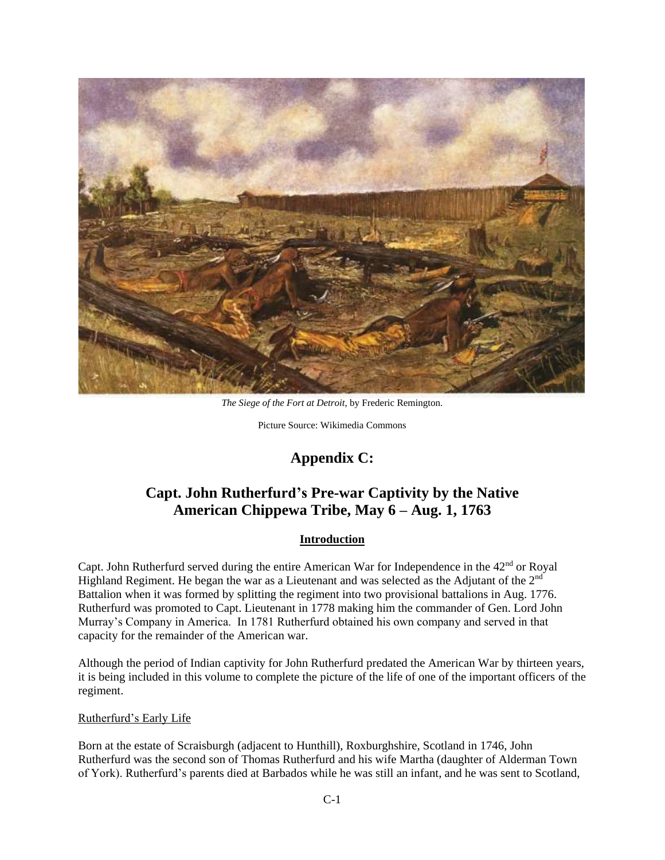

*The Siege of the Fort at Detroit*, by Frederic Remington.

Picture Source: Wikimedia Commons

# **Appendix C:**

# **Capt. John Rutherfurd's Pre-war Captivity by the Native American Chippewa Tribe, May 6 – Aug. 1, 1763**

# **Introduction**

Capt. John Rutherfurd served during the entire American War for Independence in the 42<sup>nd</sup> or Royal Highland Regiment. He began the war as a Lieutenant and was selected as the Adjutant of the  $2<sup>nd</sup>$ Battalion when it was formed by splitting the regiment into two provisional battalions in Aug. 1776. Rutherfurd was promoted to Capt. Lieutenant in 1778 making him the commander of Gen. Lord John Murray's Company in America. In 1781 Rutherfurd obtained his own company and served in that capacity for the remainder of the American war.

Although the period of Indian captivity for John Rutherfurd predated the American War by thirteen years, it is being included in this volume to complete the picture of the life of one of the important officers of the regiment.

# Rutherfurd's Early Life

Born at the estate of Scraisburgh (adjacent to Hunthill), Roxburghshire, Scotland in 1746, John Rutherfurd was the second son of Thomas Rutherfurd and his wife Martha (daughter of Alderman Town of York). Rutherfurd's parents died at Barbados while he was still an infant, and he was sent to Scotland,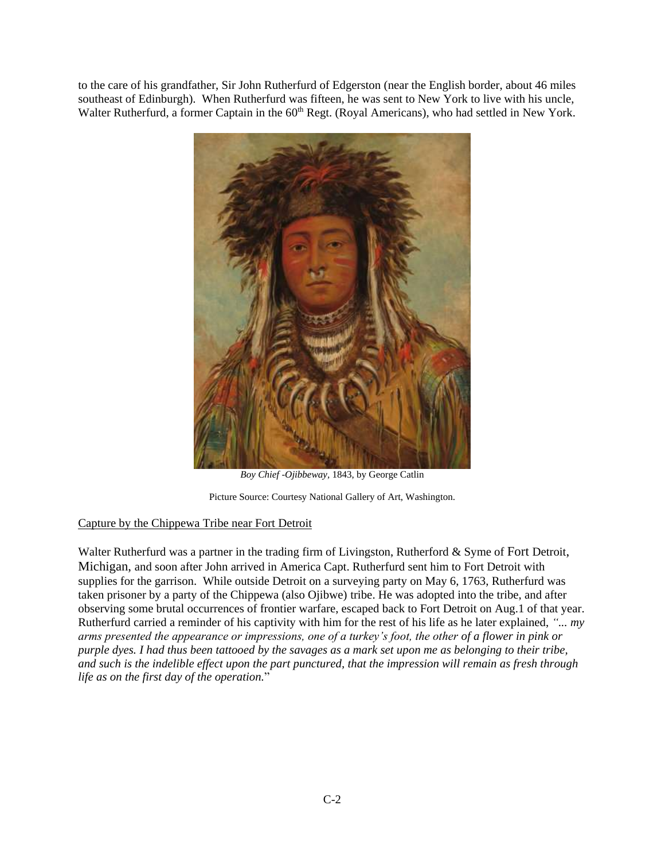to the care of his grandfather, Sir John Rutherfurd of Edgerston (near the English border, about 46 miles southeast of Edinburgh). When Rutherfurd was fifteen, he was sent to New York to live with his uncle, Walter Rutherfurd, a former Captain in the 60<sup>th</sup> Regt. (Royal Americans), who had settled in New York.



*Boy Chief -Ojibbeway,* 1843, by George Catlin

Picture Source: Courtesy National Gallery of Art, Washington.

# Capture by the Chippewa Tribe near Fort Detroit

Walter Rutherfurd was a partner in the trading firm of Livingston, Rutherford & Syme of Fort Detroit, Michigan, and soon after John arrived in America Capt. Rutherfurd sent him to Fort Detroit with supplies for the garrison. While outside Detroit on a surveying party on May 6, 1763, Rutherfurd was taken prisoner by a party of the Chippewa (also Ojibwe) tribe. He was adopted into the tribe, and after observing some brutal occurrences of frontier warfare, escaped back to Fort Detroit on Aug.1 of that year. Rutherfurd carried a reminder of his captivity with him for the rest of his life as he later explained, *"... my arms presented the appearance or impressions, one of a turkey's foot, the other of a flower in pink or purple dyes. I had thus been tattooed by the savages as a mark set upon me as belonging to their tribe, and such is the indelible effect upon the part punctured, that the impression will remain as fresh through life as on the first day of the operation.*"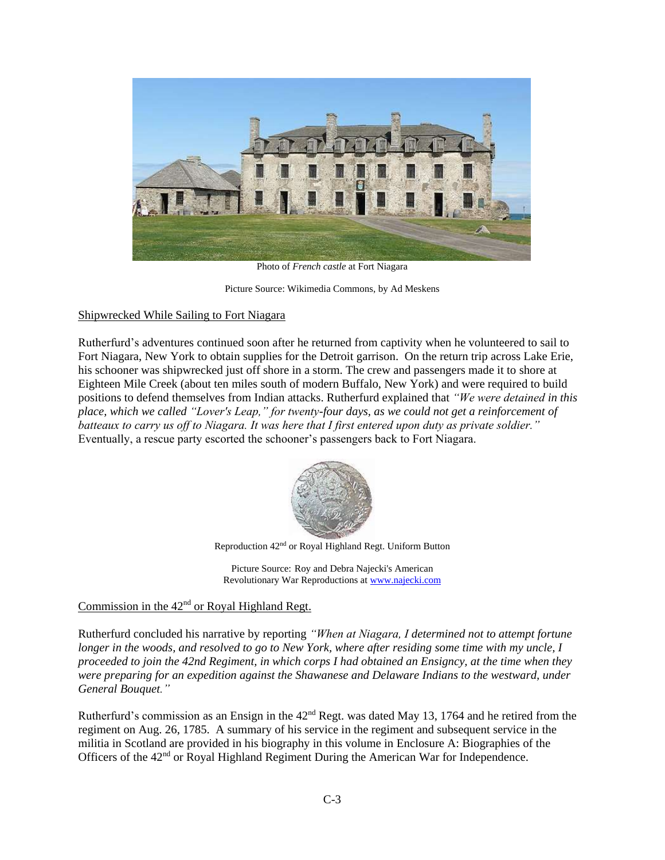

Photo of *French castle* at Fort Niagara

Picture Source: Wikimedia Commons, by Ad Meskens

### Shipwrecked While Sailing to Fort Niagara

Rutherfurd's adventures continued soon after he returned from captivity when he volunteered to sail to Fort Niagara, New York to obtain supplies for the Detroit garrison. On the return trip across Lake Erie, his schooner was shipwrecked just off shore in a storm. The crew and passengers made it to shore at Eighteen Mile Creek (about ten miles south of modern Buffalo, New York) and were required to build positions to defend themselves from Indian attacks. Rutherfurd explained that *"We were detained in this place, which we called "Lover's Leap," for twenty-four days, as we could not get a reinforcement of batteaux to carry us off to Niagara. It was here that I first entered upon duty as private soldier."* Eventually, a rescue party escorted the schooner's passengers back to Fort Niagara.



Reproduction 42nd or Royal Highland Regt. Uniform Button

Picture Source: Roy and Debra Najecki's American Revolutionary War Reproductions a[t www.najecki.com](http://www.najecki.com/)

# Commission in the  $42<sup>nd</sup>$  or Royal Highland Regt.

Rutherfurd concluded his narrative by reporting *"When at Niagara, I determined not to attempt fortune longer in the woods, and resolved to go to New York, where after residing some time with my uncle, I proceeded to join the 42nd Regiment, in which corps I had obtained an Ensigncy, at the time when they were preparing for an expedition against the Shawanese and Delaware Indians to the westward, under General Bouquet."*

Rutherfurd's commission as an Ensign in the 42<sup>nd</sup> Regt. was dated May 13, 1764 and he retired from the regiment on Aug. 26, 1785. A summary of his service in the regiment and subsequent service in the militia in Scotland are provided in his biography in this volume in Enclosure A: Biographies of the Officers of the 42<sup>nd</sup> or Royal Highland Regiment During the American War for Independence.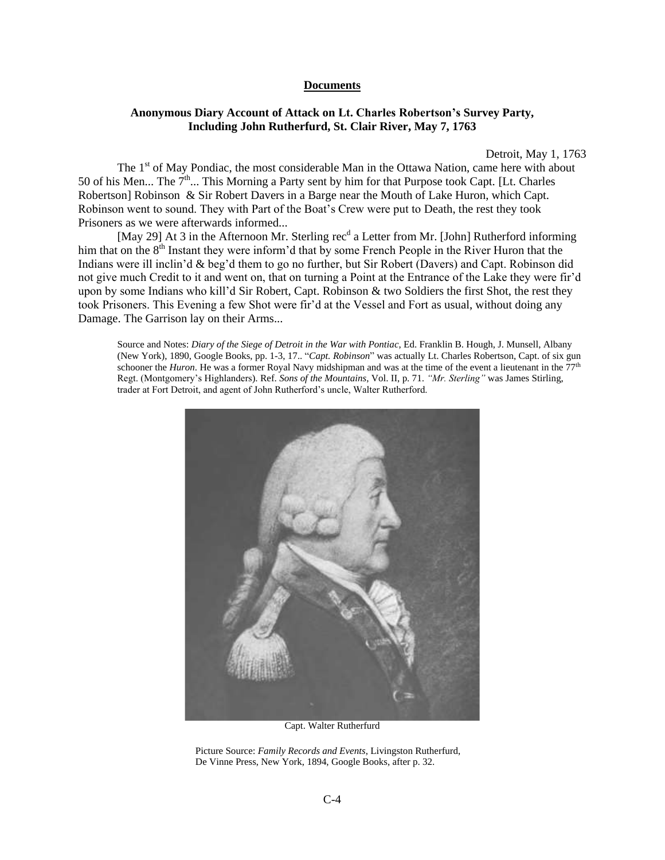#### **Documents**

# **Anonymous Diary Account of Attack on Lt. Charles Robertson's Survey Party, Including John Rutherfurd, St. Clair River, May 7, 1763**

Detroit, May 1, 1763

The 1<sup>st</sup> of May Pondiac, the most considerable Man in the Ottawa Nation, came here with about 50 of his Men... The  $7<sup>th</sup>$ ... This Morning a Party sent by him for that Purpose took Capt. [Lt. Charles Robertson] Robinson & Sir Robert Davers in a Barge near the Mouth of Lake Huron, which Capt. Robinson went to sound. They with Part of the Boat's Crew were put to Death, the rest they took Prisoners as we were afterwards informed...

[May 29] At 3 in the Afternoon Mr. Sterling rec<sup>d</sup> a Letter from Mr. [John] Rutherford informing him that on the 8<sup>th</sup> Instant they were inform'd that by some French People in the River Huron that the Indians were ill inclin'd & beg'd them to go no further, but Sir Robert (Davers) and Capt. Robinson did not give much Credit to it and went on, that on turning a Point at the Entrance of the Lake they were fir'd upon by some Indians who kill'd Sir Robert, Capt. Robinson & two Soldiers the first Shot, the rest they took Prisoners. This Evening a few Shot were fir'd at the Vessel and Fort as usual, without doing any Damage. The Garrison lay on their Arms...

Source and Notes: *Diary of the Siege of Detroit in the War with Pontiac*, Ed. Franklin B. Hough, J. Munsell, Albany (New York), 1890, Google Books, pp. 1-3, 17.. "*Capt. Robinson*" was actually Lt. Charles Robertson, Capt. of six gun schooner the *Huron*. He was a former Royal Navy midshipman and was at the time of the event a lieutenant in the 77<sup>th</sup> Regt. (Montgomery's Highlanders). Ref. *Sons of the Mountains*, Vol. II, p. 71. *"Mr. Sterling"* was James Stirling, trader at Fort Detroit, and agent of John Rutherford's uncle, Walter Rutherford.



Capt. Walter Rutherfurd

Picture Source: *Family Records and Events*, Livingston Rutherfurd, De Vinne Press, New York, 1894, Google Books, after p. 32.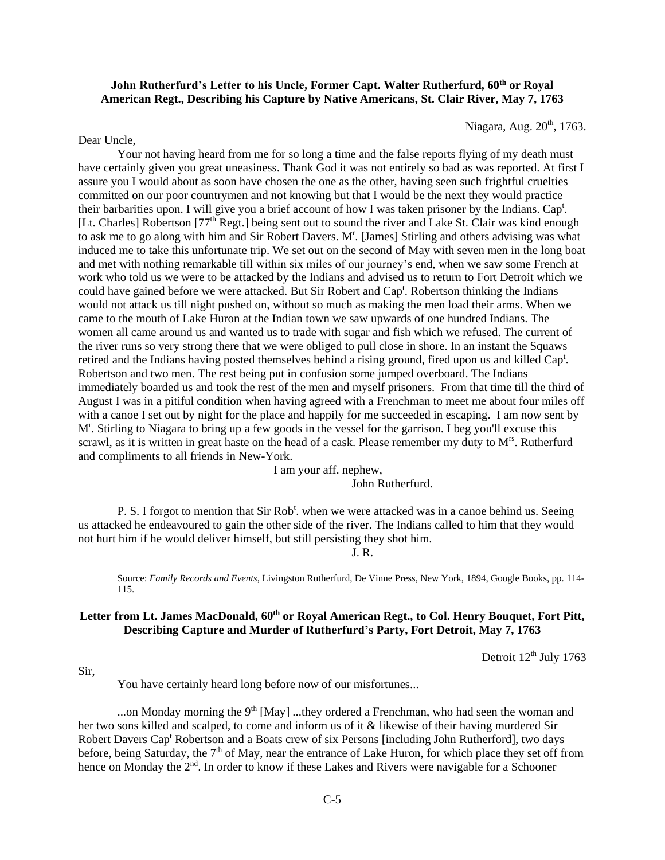# **John Rutherfurd's Letter to his Uncle, Former Capt. Walter Rutherfurd, 60th or Royal American Regt., Describing his Capture by Native Americans, St. Clair River, May 7, 1763**

Niagara, Aug. 20<sup>th</sup>, 1763.

Dear Uncle,

Your not having heard from me for so long a time and the false reports flying of my death must have certainly given you great uneasiness. Thank God it was not entirely so bad as was reported. At first I assure you I would about as soon have chosen the one as the other, having seen such frightful cruelties committed on our poor countrymen and not knowing but that I would be the next they would practice their barbarities upon. I will give you a brief account of how I was taken prisoner by the Indians. Cap<sup>t</sup>. [Lt. Charles] Robertson [77<sup>th</sup> Regt.] being sent out to sound the river and Lake St. Clair was kind enough to ask me to go along with him and Sir Robert Davers. M<sup>r</sup>. [James] Stirling and others advising was what induced me to take this unfortunate trip. We set out on the second of May with seven men in the long boat and met with nothing remarkable till within six miles of our journey's end, when we saw some French at work who told us we were to be attacked by the Indians and advised us to return to Fort Detroit which we could have gained before we were attacked. But Sir Robert and Cap<sup>t</sup>. Robertson thinking the Indians would not attack us till night pushed on, without so much as making the men load their arms. When we came to the mouth of Lake Huron at the Indian town we saw upwards of one hundred Indians. The women all came around us and wanted us to trade with sugar and fish which we refused. The current of the river runs so very strong there that we were obliged to pull close in shore. In an instant the Squaws retired and the Indians having posted themselves behind a rising ground, fired upon us and killed Cap<sup>t</sup>. Robertson and two men. The rest being put in confusion some jumped overboard. The Indians immediately boarded us and took the rest of the men and myself prisoners. From that time till the third of August I was in a pitiful condition when having agreed with a Frenchman to meet me about four miles off with a canoe I set out by night for the place and happily for me succeeded in escaping. I am now sent by Mr . Stirling to Niagara to bring up a few goods in the vessel for the garrison. I beg you'll excuse this scrawl, as it is written in great haste on the head of a cask. Please remember my duty to M<sup>rs</sup>. Rutherfurd and compliments to all friends in New-York.

> I am your aff. nephew, John Rutherfurd.

P. S. I forgot to mention that Sir Rob<sup>t</sup>. when we were attacked was in a canoe behind us. Seeing us attacked he endeavoured to gain the other side of the river. The Indians called to him that they would not hurt him if he would deliver himself, but still persisting they shot him.

J. R.

Source: *Family Records and Events*, Livingston Rutherfurd, De Vinne Press, New York, 1894, Google Books, pp. 114- 115.

# **Letter from Lt. James MacDonald, 60th or Royal American Regt., to Col. Henry Bouquet, Fort Pitt, Describing Capture and Murder of Rutherfurd's Party, Fort Detroit, May 7, 1763**

Detroit 12<sup>th</sup> July 1763

Sir,

You have certainly heard long before now of our misfortunes...

...on Monday morning the  $9<sup>th</sup>$  [May] ...they ordered a Frenchman, who had seen the woman and her two sons killed and scalped, to come and inform us of it & likewise of their having murdered Sir Robert Davers Cap<sup>t</sup> Robertson and a Boats crew of six Persons [including John Rutherford], two days before, being Saturday, the  $7<sup>th</sup>$  of May, near the entrance of Lake Huron, for which place they set off from hence on Monday the 2<sup>nd</sup>. In order to know if these Lakes and Rivers were navigable for a Schooner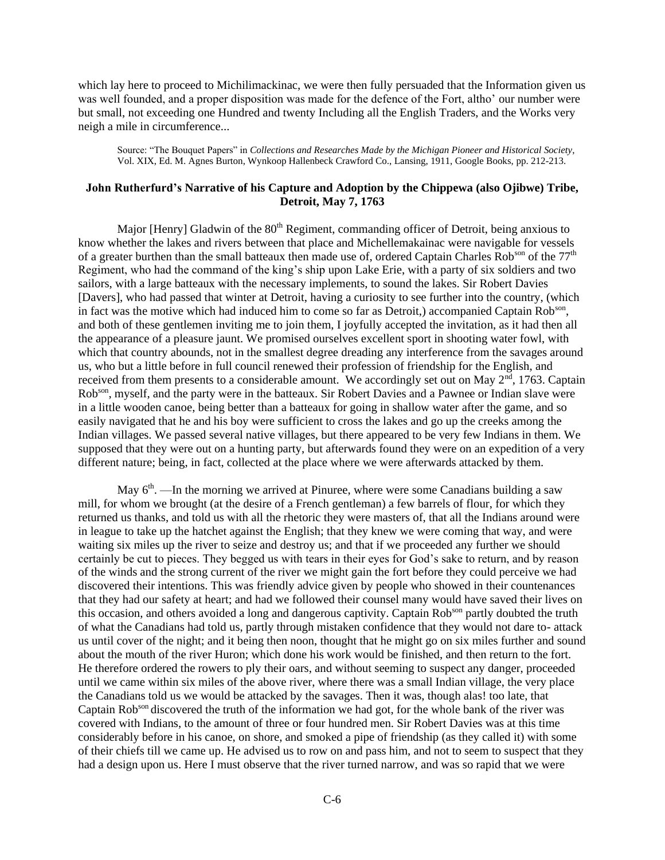which lay here to proceed to Michilimackinac, we were then fully persuaded that the Information given us was well founded, and a proper disposition was made for the defence of the Fort, altho' our number were but small, not exceeding one Hundred and twenty Including all the English Traders, and the Works very neigh a mile in circumference...

Source: "The Bouquet Papers" in *Collections and Researches Made by the Michigan Pioneer and Historical Society*, Vol. XIX, Ed. M. Agnes Burton, Wynkoop Hallenbeck Crawford Co., Lansing, 1911, Google Books, pp. 212-213.

# **John Rutherfurd's Narrative of his Capture and Adoption by the Chippewa (also Ojibwe) Tribe, Detroit, May 7, 1763**

Major [Henry] Gladwin of the  $80<sup>th</sup>$  Regiment, commanding officer of Detroit, being anxious to know whether the lakes and rivers between that place and Michellemakainac were navigable for vessels of a greater burthen than the small batteaux then made use of, ordered Captain Charles Rob<sup>son</sup> of the  $77<sup>th</sup>$ Regiment, who had the command of the king's ship upon Lake Erie, with a party of six soldiers and two sailors, with a large batteaux with the necessary implements, to sound the lakes. Sir Robert Davies [Davers], who had passed that winter at Detroit, having a curiosity to see further into the country, (which in fact was the motive which had induced him to come so far as Detroit,) accompanied Captain Rob<sup>son</sup>, and both of these gentlemen inviting me to join them, I joyfully accepted the invitation, as it had then all the appearance of a pleasure jaunt. We promised ourselves excellent sport in shooting water fowl, with which that country abounds, not in the smallest degree dreading any interference from the savages around us, who but a little before in full council renewed their profession of friendship for the English, and received from them presents to a considerable amount. We accordingly set out on May  $2<sup>nd</sup>$ , 1763. Captain Rob<sup>son</sup>, myself, and the party were in the batteaux. Sir Robert Davies and a Pawnee or Indian slave were in a little wooden canoe, being better than a batteaux for going in shallow water after the game, and so easily navigated that he and his boy were sufficient to cross the lakes and go up the creeks among the Indian villages. We passed several native villages, but there appeared to be very few Indians in them. We supposed that they were out on a hunting party, but afterwards found they were on an expedition of a very different nature; being, in fact, collected at the place where we were afterwards attacked by them.

May  $6<sup>th</sup>$ . —In the morning we arrived at Pinuree, where were some Canadians building a saw mill, for whom we brought (at the desire of a French gentleman) a few barrels of flour, for which they returned us thanks, and told us with all the rhetoric they were masters of, that all the Indians around were in league to take up the hatchet against the English; that they knew we were coming that way, and were waiting six miles up the river to seize and destroy us; and that if we proceeded any further we should certainly be cut to pieces. They begged us with tears in their eyes for God's sake to return, and by reason of the winds and the strong current of the river we might gain the fort before they could perceive we had discovered their intentions. This was friendly advice given by people who showed in their countenances that they had our safety at heart; and had we followed their counsel many would have saved their lives on this occasion, and others avoided a long and dangerous captivity. Captain Rob<sup>son</sup> partly doubted the truth of what the Canadians had told us, partly through mistaken confidence that they would not dare to- attack us until cover of the night; and it being then noon, thought that he might go on six miles further and sound about the mouth of the river Huron; which done his work would be finished, and then return to the fort. He therefore ordered the rowers to ply their oars, and without seeming to suspect any danger, proceeded until we came within six miles of the above river, where there was a small Indian village, the very place the Canadians told us we would be attacked by the savages. Then it was, though alas! too late, that Captain Rob<sup>son</sup> discovered the truth of the information we had got, for the whole bank of the river was covered with Indians, to the amount of three or four hundred men. Sir Robert Davies was at this time considerably before in his canoe, on shore, and smoked a pipe of friendship (as they called it) with some of their chiefs till we came up. He advised us to row on and pass him, and not to seem to suspect that they had a design upon us. Here I must observe that the river turned narrow, and was so rapid that we were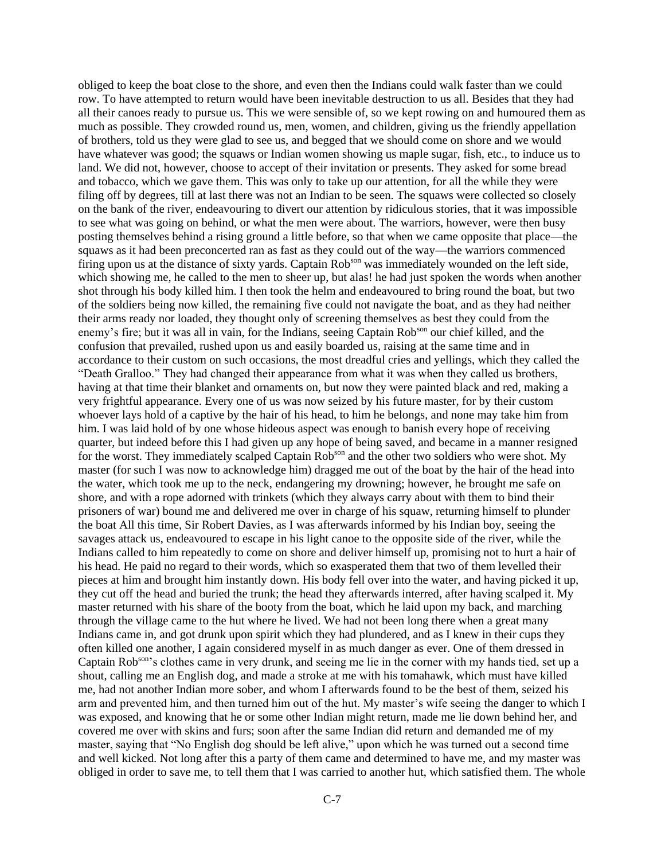obliged to keep the boat close to the shore, and even then the Indians could walk faster than we could row. To have attempted to return would have been inevitable destruction to us all. Besides that they had all their canoes ready to pursue us. This we were sensible of, so we kept rowing on and humoured them as much as possible. They crowded round us, men, women, and children, giving us the friendly appellation of brothers, told us they were glad to see us, and begged that we should come on shore and we would have whatever was good; the squaws or Indian women showing us maple sugar, fish, etc., to induce us to land. We did not, however, choose to accept of their invitation or presents. They asked for some bread and tobacco, which we gave them. This was only to take up our attention, for all the while they were filing off by degrees, till at last there was not an Indian to be seen. The squaws were collected so closely on the bank of the river, endeavouring to divert our attention by ridiculous stories, that it was impossible to see what was going on behind, or what the men were about. The warriors, however, were then busy posting themselves behind a rising ground a little before, so that when we came opposite that place—the squaws as it had been preconcerted ran as fast as they could out of the way—the warriors commenced firing upon us at the distance of sixty yards. Captain Rob<sup>son</sup> was immediately wounded on the left side, which showing me, he called to the men to sheer up, but alas! he had just spoken the words when another shot through his body killed him. I then took the helm and endeavoured to bring round the boat, but two of the soldiers being now killed, the remaining five could not navigate the boat, and as they had neither their arms ready nor loaded, they thought only of screening themselves as best they could from the enemy's fire; but it was all in vain, for the Indians, seeing Captain Rob<sup>son</sup> our chief killed, and the confusion that prevailed, rushed upon us and easily boarded us, raising at the same time and in accordance to their custom on such occasions, the most dreadful cries and yellings, which they called the "Death Gralloo." They had changed their appearance from what it was when they called us brothers, having at that time their blanket and ornaments on, but now they were painted black and red, making a very frightful appearance. Every one of us was now seized by his future master, for by their custom whoever lays hold of a captive by the hair of his head, to him he belongs, and none may take him from him. I was laid hold of by one whose hideous aspect was enough to banish every hope of receiving quarter, but indeed before this I had given up any hope of being saved, and became in a manner resigned for the worst. They immediately scalped Captain Rob<sup>son</sup> and the other two soldiers who were shot. My master (for such I was now to acknowledge him) dragged me out of the boat by the hair of the head into the water, which took me up to the neck, endangering my drowning; however, he brought me safe on shore, and with a rope adorned with trinkets (which they always carry about with them to bind their prisoners of war) bound me and delivered me over in charge of his squaw, returning himself to plunder the boat All this time, Sir Robert Davies, as I was afterwards informed by his Indian boy, seeing the savages attack us, endeavoured to escape in his light canoe to the opposite side of the river, while the Indians called to him repeatedly to come on shore and deliver himself up, promising not to hurt a hair of his head. He paid no regard to their words, which so exasperated them that two of them levelled their pieces at him and brought him instantly down. His body fell over into the water, and having picked it up, they cut off the head and buried the trunk; the head they afterwards interred, after having scalped it. My master returned with his share of the booty from the boat, which he laid upon my back, and marching through the village came to the hut where he lived. We had not been long there when a great many Indians came in, and got drunk upon spirit which they had plundered, and as I knew in their cups they often killed one another, I again considered myself in as much danger as ever. One of them dressed in Captain Robson's clothes came in very drunk, and seeing me lie in the corner with my hands tied, set up a shout, calling me an English dog, and made a stroke at me with his tomahawk, which must have killed me, had not another Indian more sober, and whom I afterwards found to be the best of them, seized his arm and prevented him, and then turned him out of the hut. My master's wife seeing the danger to which I was exposed, and knowing that he or some other Indian might return, made me lie down behind her, and covered me over with skins and furs; soon after the same Indian did return and demanded me of my master, saying that "No English dog should be left alive," upon which he was turned out a second time and well kicked. Not long after this a party of them came and determined to have me, and my master was obliged in order to save me, to tell them that I was carried to another hut, which satisfied them. The whole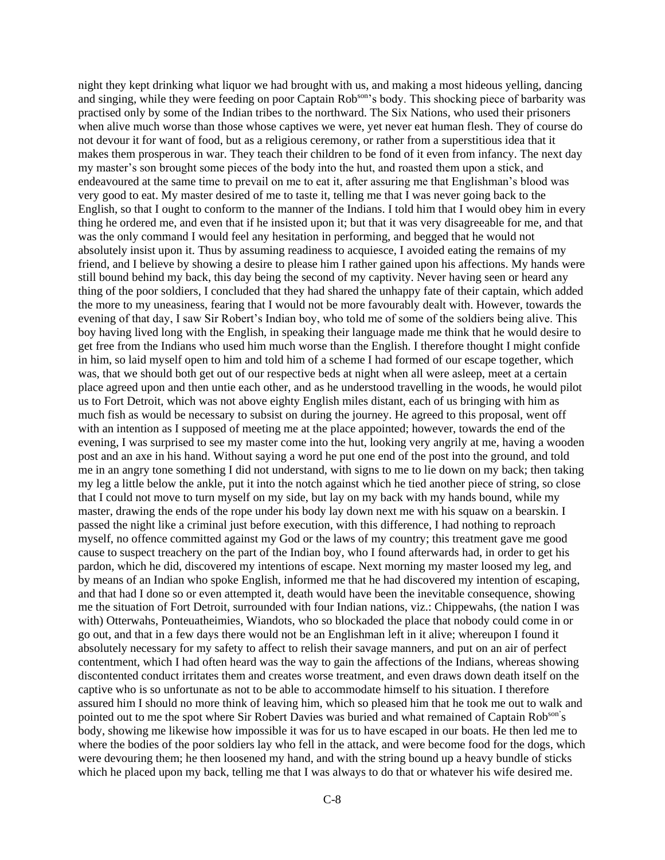night they kept drinking what liquor we had brought with us, and making a most hideous yelling, dancing and singing, while they were feeding on poor Captain Rob<sup>son</sup>'s body. This shocking piece of barbarity was practised only by some of the Indian tribes to the northward. The Six Nations, who used their prisoners when alive much worse than those whose captives we were, yet never eat human flesh. They of course do not devour it for want of food, but as a religious ceremony, or rather from a superstitious idea that it makes them prosperous in war. They teach their children to be fond of it even from infancy. The next day my master's son brought some pieces of the body into the hut, and roasted them upon a stick, and endeavoured at the same time to prevail on me to eat it, after assuring me that Englishman's blood was very good to eat. My master desired of me to taste it, telling me that I was never going back to the English, so that I ought to conform to the manner of the Indians. I told him that I would obey him in every thing he ordered me, and even that if he insisted upon it; but that it was very disagreeable for me, and that was the only command I would feel any hesitation in performing, and begged that he would not absolutely insist upon it. Thus by assuming readiness to acquiesce, I avoided eating the remains of my friend, and I believe by showing a desire to please him I rather gained upon his affections. My hands were still bound behind my back, this day being the second of my captivity. Never having seen or heard any thing of the poor soldiers, I concluded that they had shared the unhappy fate of their captain, which added the more to my uneasiness, fearing that I would not be more favourably dealt with. However, towards the evening of that day, I saw Sir Robert's Indian boy, who told me of some of the soldiers being alive. This boy having lived long with the English, in speaking their language made me think that he would desire to get free from the Indians who used him much worse than the English. I therefore thought I might confide in him, so laid myself open to him and told him of a scheme I had formed of our escape together, which was, that we should both get out of our respective beds at night when all were asleep, meet at a certain place agreed upon and then untie each other, and as he understood travelling in the woods, he would pilot us to Fort Detroit, which was not above eighty English miles distant, each of us bringing with him as much fish as would be necessary to subsist on during the journey. He agreed to this proposal, went off with an intention as I supposed of meeting me at the place appointed; however, towards the end of the evening, I was surprised to see my master come into the hut, looking very angrily at me, having a wooden post and an axe in his hand. Without saying a word he put one end of the post into the ground, and told me in an angry tone something I did not understand, with signs to me to lie down on my back; then taking my leg a little below the ankle, put it into the notch against which he tied another piece of string, so close that I could not move to turn myself on my side, but lay on my back with my hands bound, while my master, drawing the ends of the rope under his body lay down next me with his squaw on a bearskin. I passed the night like a criminal just before execution, with this difference, I had nothing to reproach myself, no offence committed against my God or the laws of my country; this treatment gave me good cause to suspect treachery on the part of the Indian boy, who I found afterwards had, in order to get his pardon, which he did, discovered my intentions of escape. Next morning my master loosed my leg, and by means of an Indian who spoke English, informed me that he had discovered my intention of escaping, and that had I done so or even attempted it, death would have been the inevitable consequence, showing me the situation of Fort Detroit, surrounded with four Indian nations, viz.: Chippewahs, (the nation I was with) Otterwahs, Ponteuatheimies, Wiandots, who so blockaded the place that nobody could come in or go out, and that in a few days there would not be an Englishman left in it alive; whereupon I found it absolutely necessary for my safety to affect to relish their savage manners, and put on an air of perfect contentment, which I had often heard was the way to gain the affections of the Indians, whereas showing discontented conduct irritates them and creates worse treatment, and even draws down death itself on the captive who is so unfortunate as not to be able to accommodate himself to his situation. I therefore assured him I should no more think of leaving him, which so pleased him that he took me out to walk and pointed out to me the spot where Sir Robert Davies was buried and what remained of Captain Rob<sup>son'</sup>s body, showing me likewise how impossible it was for us to have escaped in our boats. He then led me to where the bodies of the poor soldiers lay who fell in the attack, and were become food for the dogs, which were devouring them; he then loosened my hand, and with the string bound up a heavy bundle of sticks which he placed upon my back, telling me that I was always to do that or whatever his wife desired me.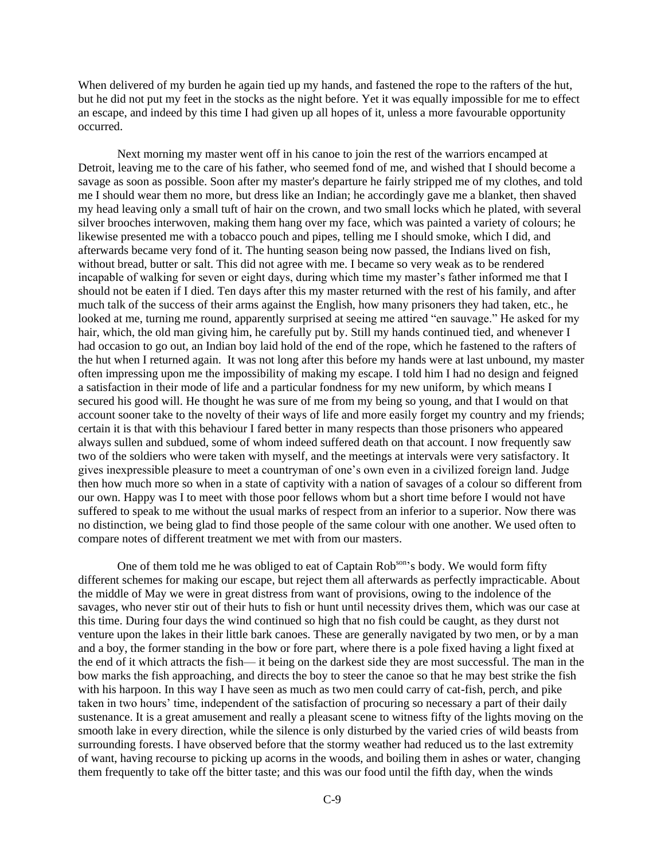When delivered of my burden he again tied up my hands, and fastened the rope to the rafters of the hut, but he did not put my feet in the stocks as the night before. Yet it was equally impossible for me to effect an escape, and indeed by this time I had given up all hopes of it, unless a more favourable opportunity occurred.

Next morning my master went off in his canoe to join the rest of the warriors encamped at Detroit, leaving me to the care of his father, who seemed fond of me, and wished that I should become a savage as soon as possible. Soon after my master's departure he fairly stripped me of my clothes, and told me I should wear them no more, but dress like an Indian; he accordingly gave me a blanket, then shaved my head leaving only a small tuft of hair on the crown, and two small locks which he plated, with several silver brooches interwoven, making them hang over my face, which was painted a variety of colours; he likewise presented me with a tobacco pouch and pipes, telling me I should smoke, which I did, and afterwards became very fond of it. The hunting season being now passed, the Indians lived on fish, without bread, butter or salt. This did not agree with me. I became so very weak as to be rendered incapable of walking for seven or eight days, during which time my master's father informed me that I should not be eaten if I died. Ten days after this my master returned with the rest of his family, and after much talk of the success of their arms against the English, how many prisoners they had taken, etc., he looked at me, turning me round, apparently surprised at seeing me attired "en sauvage." He asked for my hair, which, the old man giving him, he carefully put by. Still my hands continued tied, and whenever I had occasion to go out, an Indian boy laid hold of the end of the rope, which he fastened to the rafters of the hut when I returned again. It was not long after this before my hands were at last unbound, my master often impressing upon me the impossibility of making my escape. I told him I had no design and feigned a satisfaction in their mode of life and a particular fondness for my new uniform, by which means I secured his good will. He thought he was sure of me from my being so young, and that I would on that account sooner take to the novelty of their ways of life and more easily forget my country and my friends; certain it is that with this behaviour I fared better in many respects than those prisoners who appeared always sullen and subdued, some of whom indeed suffered death on that account. I now frequently saw two of the soldiers who were taken with myself, and the meetings at intervals were very satisfactory. It gives inexpressible pleasure to meet a countryman of one's own even in a civilized foreign land. Judge then how much more so when in a state of captivity with a nation of savages of a colour so different from our own. Happy was I to meet with those poor fellows whom but a short time before I would not have suffered to speak to me without the usual marks of respect from an inferior to a superior. Now there was no distinction, we being glad to find those people of the same colour with one another. We used often to compare notes of different treatment we met with from our masters.

One of them told me he was obliged to eat of Captain Rob<sup>son</sup>'s body. We would form fifty different schemes for making our escape, but reject them all afterwards as perfectly impracticable. About the middle of May we were in great distress from want of provisions, owing to the indolence of the savages, who never stir out of their huts to fish or hunt until necessity drives them, which was our case at this time. During four days the wind continued so high that no fish could be caught, as they durst not venture upon the lakes in their little bark canoes. These are generally navigated by two men, or by a man and a boy, the former standing in the bow or fore part, where there is a pole fixed having a light fixed at the end of it which attracts the fish— it being on the darkest side they are most successful. The man in the bow marks the fish approaching, and directs the boy to steer the canoe so that he may best strike the fish with his harpoon. In this way I have seen as much as two men could carry of cat-fish, perch, and pike taken in two hours' time, independent of the satisfaction of procuring so necessary a part of their daily sustenance. It is a great amusement and really a pleasant scene to witness fifty of the lights moving on the smooth lake in every direction, while the silence is only disturbed by the varied cries of wild beasts from surrounding forests. I have observed before that the stormy weather had reduced us to the last extremity of want, having recourse to picking up acorns in the woods, and boiling them in ashes or water, changing them frequently to take off the bitter taste; and this was our food until the fifth day, when the winds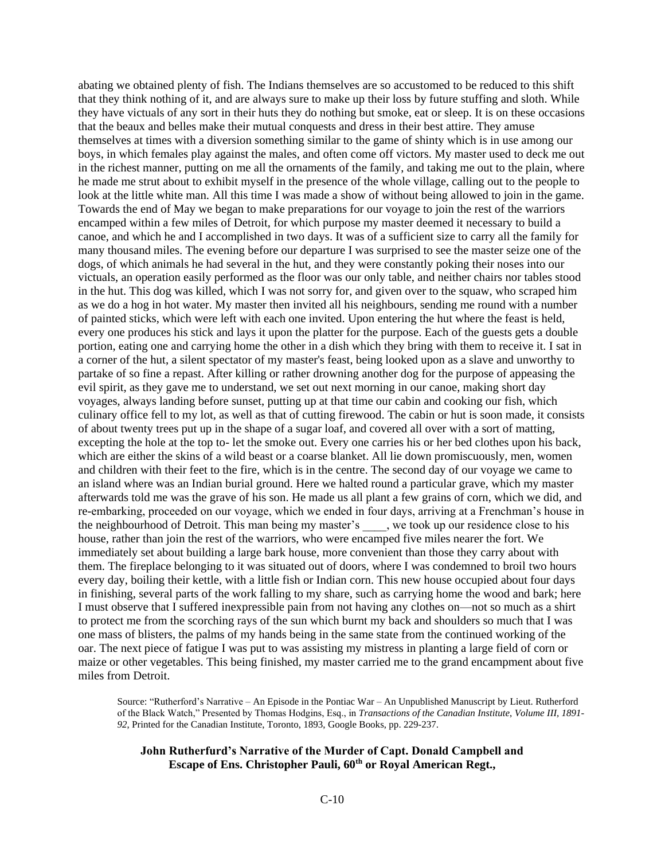abating we obtained plenty of fish. The Indians themselves are so accustomed to be reduced to this shift that they think nothing of it, and are always sure to make up their loss by future stuffing and sloth. While they have victuals of any sort in their huts they do nothing but smoke, eat or sleep. It is on these occasions that the beaux and belles make their mutual conquests and dress in their best attire. They amuse themselves at times with a diversion something similar to the game of shinty which is in use among our boys, in which females play against the males, and often come off victors. My master used to deck me out in the richest manner, putting on me all the ornaments of the family, and taking me out to the plain, where he made me strut about to exhibit myself in the presence of the whole village, calling out to the people to look at the little white man. All this time I was made a show of without being allowed to join in the game. Towards the end of May we began to make preparations for our voyage to join the rest of the warriors encamped within a few miles of Detroit, for which purpose my master deemed it necessary to build a canoe, and which he and I accomplished in two days. It was of a sufficient size to carry all the family for many thousand miles. The evening before our departure I was surprised to see the master seize one of the dogs, of which animals he had several in the hut, and they were constantly poking their noses into our victuals, an operation easily performed as the floor was our only table, and neither chairs nor tables stood in the hut. This dog was killed, which I was not sorry for, and given over to the squaw, who scraped him as we do a hog in hot water. My master then invited all his neighbours, sending me round with a number of painted sticks, which were left with each one invited. Upon entering the hut where the feast is held, every one produces his stick and lays it upon the platter for the purpose. Each of the guests gets a double portion, eating one and carrying home the other in a dish which they bring with them to receive it. I sat in a corner of the hut, a silent spectator of my master's feast, being looked upon as a slave and unworthy to partake of so fine a repast. After killing or rather drowning another dog for the purpose of appeasing the evil spirit, as they gave me to understand, we set out next morning in our canoe, making short day voyages, always landing before sunset, putting up at that time our cabin and cooking our fish, which culinary office fell to my lot, as well as that of cutting firewood. The cabin or hut is soon made, it consists of about twenty trees put up in the shape of a sugar loaf, and covered all over with a sort of matting, excepting the hole at the top to- let the smoke out. Every one carries his or her bed clothes upon his back, which are either the skins of a wild beast or a coarse blanket. All lie down promiscuously, men, women and children with their feet to the fire, which is in the centre. The second day of our voyage we came to an island where was an Indian burial ground. Here we halted round a particular grave, which my master afterwards told me was the grave of his son. He made us all plant a few grains of corn, which we did, and re-embarking, proceeded on our voyage, which we ended in four days, arriving at a Frenchman's house in the neighbourhood of Detroit. This man being my master's , we took up our residence close to his house, rather than join the rest of the warriors, who were encamped five miles nearer the fort. We immediately set about building a large bark house, more convenient than those they carry about with them. The fireplace belonging to it was situated out of doors, where I was condemned to broil two hours every day, boiling their kettle, with a little fish or Indian corn. This new house occupied about four days in finishing, several parts of the work falling to my share, such as carrying home the wood and bark; here I must observe that I suffered inexpressible pain from not having any clothes on—not so much as a shirt to protect me from the scorching rays of the sun which burnt my back and shoulders so much that I was one mass of blisters, the palms of my hands being in the same state from the continued working of the oar. The next piece of fatigue I was put to was assisting my mistress in planting a large field of corn or maize or other vegetables. This being finished, my master carried me to the grand encampment about five miles from Detroit.

Source: "Rutherford's Narrative – An Episode in the Pontiac War – An Unpublished Manuscript by Lieut. Rutherford of the Black Watch," Presented by Thomas Hodgins, Esq., in *Transactions of the Canadian Institute*, *Volume III, 1891- 92*, Printed for the Canadian Institute, Toronto, 1893, Google Books, pp. 229-237.

## **John Rutherfurd's Narrative of the Murder of Capt. Donald Campbell and Escape of Ens. Christopher Pauli, 60th or Royal American Regt.,**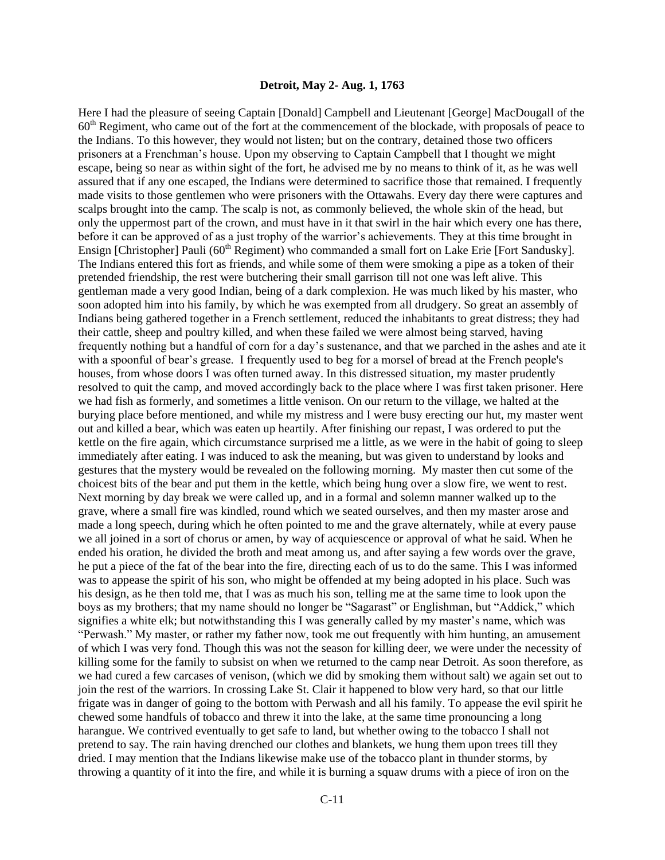#### **Detroit, May 2- Aug. 1, 1763**

Here I had the pleasure of seeing Captain [Donald] Campbell and Lieutenant [George] MacDougall of the 60th Regiment, who came out of the fort at the commencement of the blockade, with proposals of peace to the Indians. To this however, they would not listen; but on the contrary, detained those two officers prisoners at a Frenchman's house. Upon my observing to Captain Campbell that I thought we might escape, being so near as within sight of the fort, he advised me by no means to think of it, as he was well assured that if any one escaped, the Indians were determined to sacrifice those that remained. I frequently made visits to those gentlemen who were prisoners with the Ottawahs. Every day there were captures and scalps brought into the camp. The scalp is not, as commonly believed, the whole skin of the head, but only the uppermost part of the crown, and must have in it that swirl in the hair which every one has there, before it can be approved of as a just trophy of the warrior's achievements. They at this time brought in Ensign [Christopher] Pauli (60<sup>th</sup> Regiment) who commanded a small fort on Lake Erie [Fort Sandusky]. The Indians entered this fort as friends, and while some of them were smoking a pipe as a token of their pretended friendship, the rest were butchering their small garrison till not one was left alive. This gentleman made a very good Indian, being of a dark complexion. He was much liked by his master, who soon adopted him into his family, by which he was exempted from all drudgery. So great an assembly of Indians being gathered together in a French settlement, reduced the inhabitants to great distress; they had their cattle, sheep and poultry killed, and when these failed we were almost being starved, having frequently nothing but a handful of corn for a day's sustenance, and that we parched in the ashes and ate it with a spoonful of bear's grease. I frequently used to beg for a morsel of bread at the French people's houses, from whose doors I was often turned away. In this distressed situation, my master prudently resolved to quit the camp, and moved accordingly back to the place where I was first taken prisoner. Here we had fish as formerly, and sometimes a little venison. On our return to the village, we halted at the burying place before mentioned, and while my mistress and I were busy erecting our hut, my master went out and killed a bear, which was eaten up heartily. After finishing our repast, I was ordered to put the kettle on the fire again, which circumstance surprised me a little, as we were in the habit of going to sleep immediately after eating. I was induced to ask the meaning, but was given to understand by looks and gestures that the mystery would be revealed on the following morning. My master then cut some of the choicest bits of the bear and put them in the kettle, which being hung over a slow fire, we went to rest. Next morning by day break we were called up, and in a formal and solemn manner walked up to the grave, where a small fire was kindled, round which we seated ourselves, and then my master arose and made a long speech, during which he often pointed to me and the grave alternately, while at every pause we all joined in a sort of chorus or amen, by way of acquiescence or approval of what he said. When he ended his oration, he divided the broth and meat among us, and after saying a few words over the grave, he put a piece of the fat of the bear into the fire, directing each of us to do the same. This I was informed was to appease the spirit of his son, who might be offended at my being adopted in his place. Such was his design, as he then told me, that I was as much his son, telling me at the same time to look upon the boys as my brothers; that my name should no longer be "Sagarast" or Englishman, but "Addick," which signifies a white elk; but notwithstanding this I was generally called by my master's name, which was "Perwash." My master, or rather my father now, took me out frequently with him hunting, an amusement of which I was very fond. Though this was not the season for killing deer, we were under the necessity of killing some for the family to subsist on when we returned to the camp near Detroit. As soon therefore, as we had cured a few carcases of venison, (which we did by smoking them without salt) we again set out to join the rest of the warriors. In crossing Lake St. Clair it happened to blow very hard, so that our little frigate was in danger of going to the bottom with Perwash and all his family. To appease the evil spirit he chewed some handfuls of tobacco and threw it into the lake, at the same time pronouncing a long harangue. We contrived eventually to get safe to land, but whether owing to the tobacco I shall not pretend to say. The rain having drenched our clothes and blankets, we hung them upon trees till they dried. I may mention that the Indians likewise make use of the tobacco plant in thunder storms, by throwing a quantity of it into the fire, and while it is burning a squaw drums with a piece of iron on the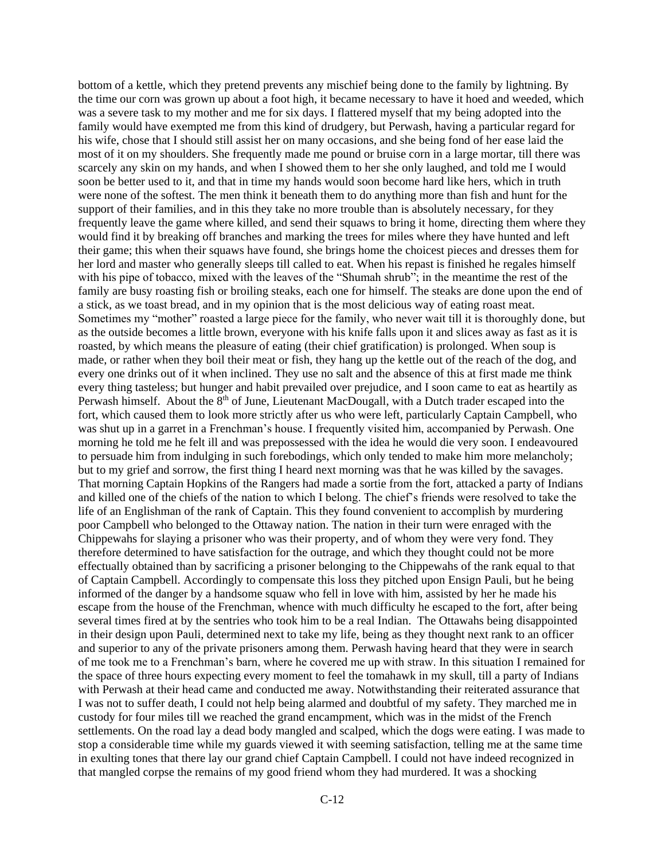bottom of a kettle, which they pretend prevents any mischief being done to the family by lightning. By the time our corn was grown up about a foot high, it became necessary to have it hoed and weeded, which was a severe task to my mother and me for six days. I flattered myself that my being adopted into the family would have exempted me from this kind of drudgery, but Perwash, having a particular regard for his wife, chose that I should still assist her on many occasions, and she being fond of her ease laid the most of it on my shoulders. She frequently made me pound or bruise corn in a large mortar, till there was scarcely any skin on my hands, and when I showed them to her she only laughed, and told me I would soon be better used to it, and that in time my hands would soon become hard like hers, which in truth were none of the softest. The men think it beneath them to do anything more than fish and hunt for the support of their families, and in this they take no more trouble than is absolutely necessary, for they frequently leave the game where killed, and send their squaws to bring it home, directing them where they would find it by breaking off branches and marking the trees for miles where they have hunted and left their game; this when their squaws have found, she brings home the choicest pieces and dresses them for her lord and master who generally sleeps till called to eat. When his repast is finished he regales himself with his pipe of tobacco, mixed with the leaves of the "Shumah shrub"; in the meantime the rest of the family are busy roasting fish or broiling steaks, each one for himself. The steaks are done upon the end of a stick, as we toast bread, and in my opinion that is the most delicious way of eating roast meat. Sometimes my "mother" roasted a large piece for the family, who never wait till it is thoroughly done, but as the outside becomes a little brown, everyone with his knife falls upon it and slices away as fast as it is roasted, by which means the pleasure of eating (their chief gratification) is prolonged. When soup is made, or rather when they boil their meat or fish, they hang up the kettle out of the reach of the dog, and every one drinks out of it when inclined. They use no salt and the absence of this at first made me think every thing tasteless; but hunger and habit prevailed over prejudice, and I soon came to eat as heartily as Perwash himself. About the 8<sup>th</sup> of June, Lieutenant MacDougall, with a Dutch trader escaped into the fort, which caused them to look more strictly after us who were left, particularly Captain Campbell, who was shut up in a garret in a Frenchman's house. I frequently visited him, accompanied by Perwash. One morning he told me he felt ill and was prepossessed with the idea he would die very soon. I endeavoured to persuade him from indulging in such forebodings, which only tended to make him more melancholy; but to my grief and sorrow, the first thing I heard next morning was that he was killed by the savages. That morning Captain Hopkins of the Rangers had made a sortie from the fort, attacked a party of Indians and killed one of the chiefs of the nation to which I belong. The chief's friends were resolved to take the life of an Englishman of the rank of Captain. This they found convenient to accomplish by murdering poor Campbell who belonged to the Ottaway nation. The nation in their turn were enraged with the Chippewahs for slaying a prisoner who was their property, and of whom they were very fond. They therefore determined to have satisfaction for the outrage, and which they thought could not be more effectually obtained than by sacrificing a prisoner belonging to the Chippewahs of the rank equal to that of Captain Campbell. Accordingly to compensate this loss they pitched upon Ensign Pauli, but he being informed of the danger by a handsome squaw who fell in love with him, assisted by her he made his escape from the house of the Frenchman, whence with much difficulty he escaped to the fort, after being several times fired at by the sentries who took him to be a real Indian. The Ottawahs being disappointed in their design upon Pauli, determined next to take my life, being as they thought next rank to an officer and superior to any of the private prisoners among them. Perwash having heard that they were in search of me took me to a Frenchman's barn, where he covered me up with straw. In this situation I remained for the space of three hours expecting every moment to feel the tomahawk in my skull, till a party of Indians with Perwash at their head came and conducted me away. Notwithstanding their reiterated assurance that I was not to suffer death, I could not help being alarmed and doubtful of my safety. They marched me in custody for four miles till we reached the grand encampment, which was in the midst of the French settlements. On the road lay a dead body mangled and scalped, which the dogs were eating. I was made to stop a considerable time while my guards viewed it with seeming satisfaction, telling me at the same time in exulting tones that there lay our grand chief Captain Campbell. I could not have indeed recognized in that mangled corpse the remains of my good friend whom they had murdered. It was a shocking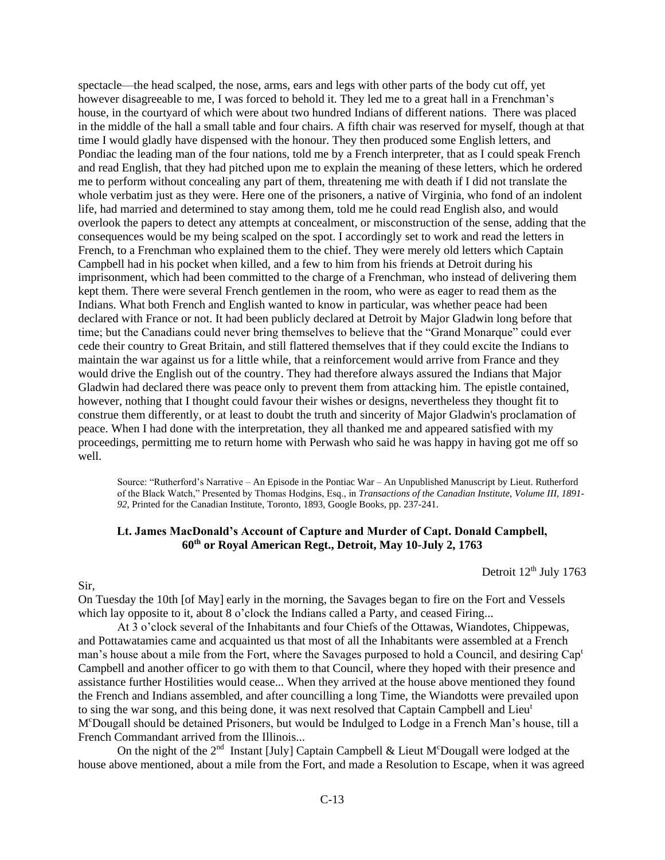spectacle—the head scalped, the nose, arms, ears and legs with other parts of the body cut off, yet however disagreeable to me, I was forced to behold it. They led me to a great hall in a Frenchman's house, in the courtyard of which were about two hundred Indians of different nations. There was placed in the middle of the hall a small table and four chairs. A fifth chair was reserved for myself, though at that time I would gladly have dispensed with the honour. They then produced some English letters, and Pondiac the leading man of the four nations, told me by a French interpreter, that as I could speak French and read English, that they had pitched upon me to explain the meaning of these letters, which he ordered me to perform without concealing any part of them, threatening me with death if I did not translate the whole verbatim just as they were. Here one of the prisoners, a native of Virginia, who fond of an indolent life, had married and determined to stay among them, told me he could read English also, and would overlook the papers to detect any attempts at concealment, or misconstruction of the sense, adding that the consequences would be my being scalped on the spot. I accordingly set to work and read the letters in French, to a Frenchman who explained them to the chief. They were merely old letters which Captain Campbell had in his pocket when killed, and a few to him from his friends at Detroit during his imprisonment, which had been committed to the charge of a Frenchman, who instead of delivering them kept them. There were several French gentlemen in the room, who were as eager to read them as the Indians. What both French and English wanted to know in particular, was whether peace had been declared with France or not. It had been publicly declared at Detroit by Major Gladwin long before that time; but the Canadians could never bring themselves to believe that the "Grand Monarque" could ever cede their country to Great Britain, and still flattered themselves that if they could excite the Indians to maintain the war against us for a little while, that a reinforcement would arrive from France and they would drive the English out of the country. They had therefore always assured the Indians that Major Gladwin had declared there was peace only to prevent them from attacking him. The epistle contained, however, nothing that I thought could favour their wishes or designs, nevertheless they thought fit to construe them differently, or at least to doubt the truth and sincerity of Major Gladwin's proclamation of peace. When I had done with the interpretation, they all thanked me and appeared satisfied with my proceedings, permitting me to return home with Perwash who said he was happy in having got me off so well.

Source: "Rutherford's Narrative – An Episode in the Pontiac War – An Unpublished Manuscript by Lieut. Rutherford of the Black Watch," Presented by Thomas Hodgins, Esq., in *Transactions of the Canadian Institute*, *Volume III, 1891- 92*, Printed for the Canadian Institute, Toronto, 1893, Google Books, pp. 237-241.

## **Lt. James MacDonald's Account of Capture and Murder of Capt. Donald Campbell, 60th or Royal American Regt., Detroit, May 10-July 2, 1763**

Detroit 12<sup>th</sup> July 1763

#### Sir,

On Tuesday the 10th [of May] early in the morning, the Savages began to fire on the Fort and Vessels which lay opposite to it, about 8 o'clock the Indians called a Party, and ceased Firing...

At 3 o'clock several of the Inhabitants and four Chiefs of the Ottawas, Wiandotes, Chippewas, and Pottawatamies came and acquainted us that most of all the Inhabitants were assembled at a French man's house about a mile from the Fort, where the Savages purposed to hold a Council, and desiring Cap<sup>t</sup> Campbell and another officer to go with them to that Council, where they hoped with their presence and assistance further Hostilities would cease... When they arrived at the house above mentioned they found the French and Indians assembled, and after councilling a long Time, the Wiandotts were prevailed upon to sing the war song, and this being done, it was next resolved that Captain Campbell and Lieu<sup>t</sup> M<sup>c</sup>Dougall should be detained Prisoners, but would be Indulged to Lodge in a French Man's house, till a French Commandant arrived from the Illinois...

On the night of the  $2<sup>nd</sup>$  Instant [July] Captain Campbell & Lieut M<sup>c</sup>Dougall were lodged at the house above mentioned, about a mile from the Fort, and made a Resolution to Escape, when it was agreed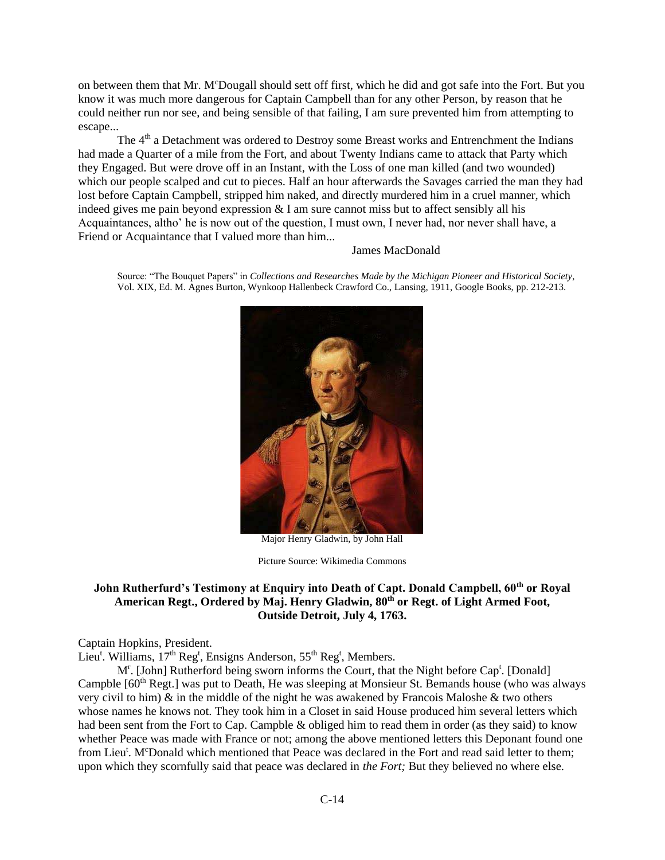on between them that Mr. M<sup>c</sup>Dougall should sett off first, which he did and got safe into the Fort. But you know it was much more dangerous for Captain Campbell than for any other Person, by reason that he could neither run nor see, and being sensible of that failing, I am sure prevented him from attempting to escape...

The  $4<sup>th</sup>$  a Detachment was ordered to Destroy some Breast works and Entrenchment the Indians had made a Quarter of a mile from the Fort, and about Twenty Indians came to attack that Party which they Engaged. But were drove off in an Instant, with the Loss of one man killed (and two wounded) which our people scalped and cut to pieces. Half an hour afterwards the Savages carried the man they had lost before Captain Campbell, stripped him naked, and directly murdered him in a cruel manner, which indeed gives me pain beyond expression  $& 1$  am sure cannot miss but to affect sensibly all his Acquaintances, altho' he is now out of the question, I must own, I never had, nor never shall have, a Friend or Acquaintance that I valued more than him...

#### James MacDonald

Source: "The Bouquet Papers" in *Collections and Researches Made by the Michigan Pioneer and Historical Society*, Vol. XIX, Ed. M. Agnes Burton, Wynkoop Hallenbeck Crawford Co., Lansing, 1911, Google Books, pp. 212-213.



Major Henry Gladwin, by John Hall

Picture Source: Wikimedia Commons

# **John Rutherfurd's Testimony at Enquiry into Death of Capt. Donald Campbell, 60th or Royal American Regt., Ordered by Maj. Henry Gladwin, 80th or Regt. of Light Armed Foot, Outside Detroit, July 4, 1763.**

Captain Hopkins, President.

Lieu<sup>t</sup>. Williams, 17<sup>th</sup> Reg<sup>t</sup>, Ensigns Anderson, 55<sup>th</sup> Reg<sup>t</sup>, Members.

M<sup>r</sup>. [John] Rutherford being sworn informs the Court, that the Night before Cap<sup>t</sup>. [Donald] Campble  $[60<sup>th</sup>$  Regt.] was put to Death, He was sleeping at Monsieur St. Bemands house (who was always very civil to him)  $\&$  in the middle of the night he was awakened by Francois Maloshe  $\&$  two others whose names he knows not. They took him in a Closet in said House produced him several letters which had been sent from the Fort to Cap. Campble & obliged him to read them in order (as they said) to know whether Peace was made with France or not; among the above mentioned letters this Deponant found one from Lieu<sup>t</sup>. M<sup>c</sup>Donald which mentioned that Peace was declared in the Fort and read said letter to them; upon which they scornfully said that peace was declared in *the Fort;* But they believed no where else.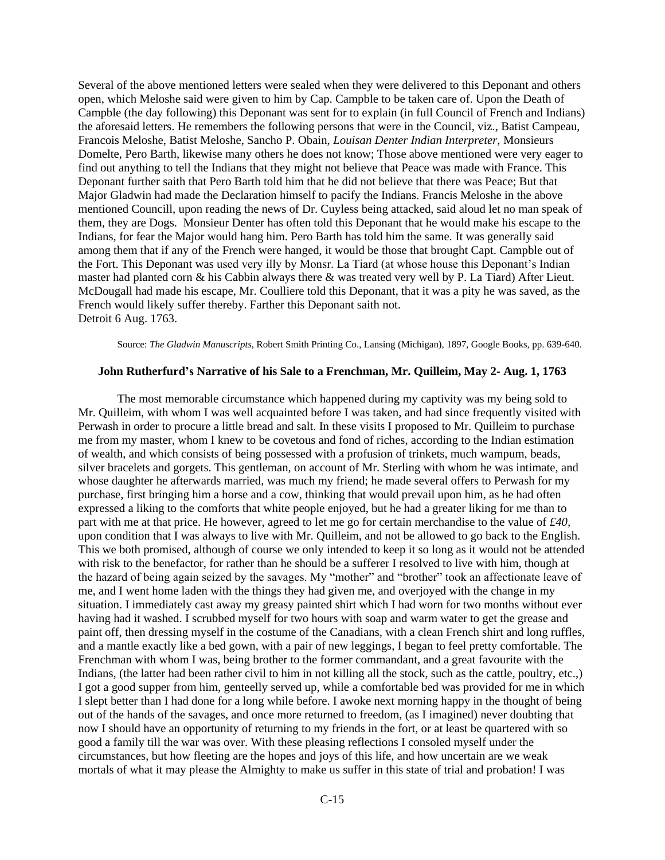Several of the above mentioned letters were sealed when they were delivered to this Deponant and others open, which Meloshe said were given to him by Cap. Campble to be taken care of. Upon the Death of Campble (the day following) this Deponant was sent for to explain (in full Council of French and Indians) the aforesaid letters. He remembers the following persons that were in the Council, viz., Batist Campeau, Francois Meloshe, Batist Meloshe, Sancho P. Obain, *Louisan Denter Indian Interpreter,* Monsieurs Domelte, Pero Barth, likewise many others he does not know; Those above mentioned were very eager to find out anything to tell the Indians that they might not believe that Peace was made with France. This Deponant further saith that Pero Barth told him that he did not believe that there was Peace; But that Major Gladwin had made the Declaration himself to pacify the Indians. Francis Meloshe in the above mentioned Councill, upon reading the news of Dr. Cuyless being attacked, said aloud let no man speak of them, they are Dogs. Monsieur Denter has often told this Deponant that he would make his escape to the Indians, for fear the Major would hang him. Pero Barth has told him the same. It was generally said among them that if any of the French were hanged, it would be those that brought Capt. Campble out of the Fort. This Deponant was used very illy by Monsr. La Tiard (at whose house this Deponant's Indian master had planted corn & his Cabbin always there & was treated very well by P. La Tiard) After Lieut. McDougall had made his escape, Mr. Coulliere told this Deponant, that it was a pity he was saved, as the French would likely suffer thereby. Farther this Deponant saith not. Detroit 6 Aug. 1763.

Source: *The Gladwin Manuscripts*, Robert Smith Printing Co., Lansing (Michigan), 1897, Google Books, pp. 639-640.

#### **John Rutherfurd's Narrative of his Sale to a Frenchman, Mr. Quilleim, May 2- Aug. 1, 1763**

The most memorable circumstance which happened during my captivity was my being sold to Mr. Quilleim, with whom I was well acquainted before I was taken, and had since frequently visited with Perwash in order to procure a little bread and salt. In these visits I proposed to Mr. Quilleim to purchase me from my master, whom I knew to be covetous and fond of riches, according to the Indian estimation of wealth, and which consists of being possessed with a profusion of trinkets, much wampum, beads, silver bracelets and gorgets. This gentleman, on account of Mr. Sterling with whom he was intimate, and whose daughter he afterwards married, was much my friend; he made several offers to Perwash for my purchase, first bringing him a horse and a cow, thinking that would prevail upon him, as he had often expressed a liking to the comforts that white people enjoyed, but he had a greater liking for me than to part with me at that price. He however, agreed to let me go for certain merchandise to the value of *£40,*  upon condition that I was always to live with Mr. Quilleim, and not be allowed to go back to the English. This we both promised, although of course we only intended to keep it so long as it would not be attended with risk to the benefactor, for rather than he should be a sufferer I resolved to live with him, though at the hazard of being again seized by the savages. My "mother" and "brother" took an affectionate leave of me, and I went home laden with the things they had given me, and overjoyed with the change in my situation. I immediately cast away my greasy painted shirt which I had worn for two months without ever having had it washed. I scrubbed myself for two hours with soap and warm water to get the grease and paint off, then dressing myself in the costume of the Canadians, with a clean French shirt and long ruffles, and a mantle exactly like a bed gown, with a pair of new leggings, I began to feel pretty comfortable. The Frenchman with whom I was, being brother to the former commandant, and a great favourite with the Indians, (the latter had been rather civil to him in not killing all the stock, such as the cattle, poultry, etc.,) I got a good supper from him, genteelly served up, while a comfortable bed was provided for me in which I slept better than I had done for a long while before. I awoke next morning happy in the thought of being out of the hands of the savages, and once more returned to freedom, (as I imagined) never doubting that now I should have an opportunity of returning to my friends in the fort, or at least be quartered with so good a family till the war was over. With these pleasing reflections I consoled myself under the circumstances, but how fleeting are the hopes and joys of this life, and how uncertain are we weak mortals of what it may please the Almighty to make us suffer in this state of trial and probation! I was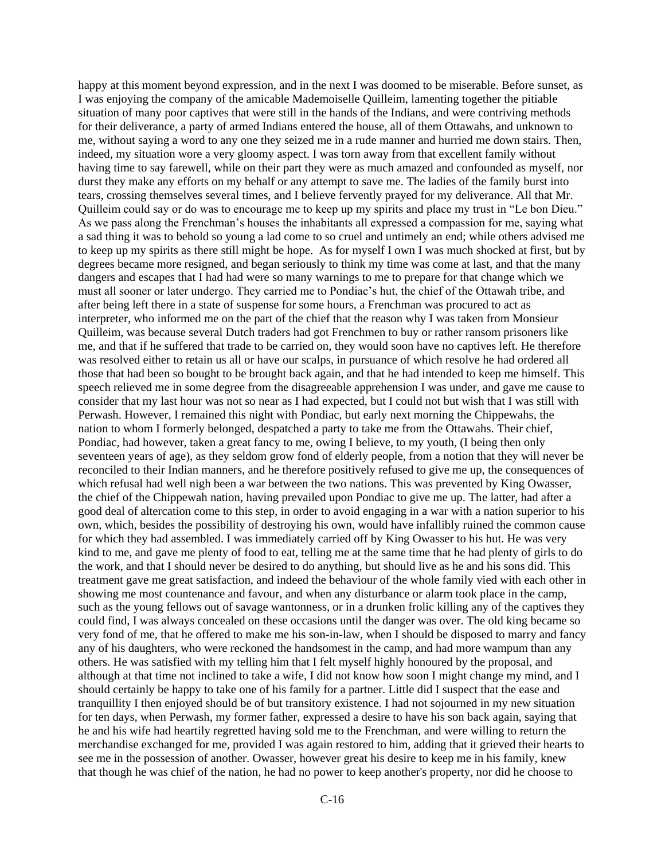happy at this moment beyond expression, and in the next I was doomed to be miserable. Before sunset, as I was enjoying the company of the amicable Mademoiselle Quilleim, lamenting together the pitiable situation of many poor captives that were still in the hands of the Indians, and were contriving methods for their deliverance, a party of armed Indians entered the house, all of them Ottawahs, and unknown to me, without saying a word to any one they seized me in a rude manner and hurried me down stairs. Then, indeed, my situation wore a very gloomy aspect. I was torn away from that excellent family without having time to say farewell, while on their part they were as much amazed and confounded as myself, nor durst they make any efforts on my behalf or any attempt to save me. The ladies of the family burst into tears, crossing themselves several times, and I believe fervently prayed for my deliverance. All that Mr. Quilleim could say or do was to encourage me to keep up my spirits and place my trust in "Le bon Dieu." As we pass along the Frenchman's houses the inhabitants all expressed a compassion for me, saying what a sad thing it was to behold so young a lad come to so cruel and untimely an end; while others advised me to keep up my spirits as there still might be hope. As for myself I own I was much shocked at first, but by degrees became more resigned, and began seriously to think my time was come at last, and that the many dangers and escapes that I had had were so many warnings to me to prepare for that change which we must all sooner or later undergo. They carried me to Pondiac's hut, the chief of the Ottawah tribe, and after being left there in a state of suspense for some hours, a Frenchman was procured to act as interpreter, who informed me on the part of the chief that the reason why I was taken from Monsieur Quilleim, was because several Dutch traders had got Frenchmen to buy or rather ransom prisoners like me, and that if he suffered that trade to be carried on, they would soon have no captives left. He therefore was resolved either to retain us all or have our scalps, in pursuance of which resolve he had ordered all those that had been so bought to be brought back again, and that he had intended to keep me himself. This speech relieved me in some degree from the disagreeable apprehension I was under, and gave me cause to consider that my last hour was not so near as I had expected, but I could not but wish that I was still with Perwash. However, I remained this night with Pondiac, but early next morning the Chippewahs, the nation to whom I formerly belonged, despatched a party to take me from the Ottawahs. Their chief, Pondiac, had however, taken a great fancy to me, owing I believe, to my youth, (I being then only seventeen years of age), as they seldom grow fond of elderly people, from a notion that they will never be reconciled to their Indian manners, and he therefore positively refused to give me up, the consequences of which refusal had well nigh been a war between the two nations. This was prevented by King Owasser, the chief of the Chippewah nation, having prevailed upon Pondiac to give me up. The latter, had after a good deal of altercation come to this step, in order to avoid engaging in a war with a nation superior to his own, which, besides the possibility of destroying his own, would have infallibly ruined the common cause for which they had assembled. I was immediately carried off by King Owasser to his hut. He was very kind to me, and gave me plenty of food to eat, telling me at the same time that he had plenty of girls to do the work, and that I should never be desired to do anything, but should live as he and his sons did. This treatment gave me great satisfaction, and indeed the behaviour of the whole family vied with each other in showing me most countenance and favour, and when any disturbance or alarm took place in the camp, such as the young fellows out of savage wantonness, or in a drunken frolic killing any of the captives they could find, I was always concealed on these occasions until the danger was over. The old king became so very fond of me, that he offered to make me his son-in-law, when I should be disposed to marry and fancy any of his daughters, who were reckoned the handsomest in the camp, and had more wampum than any others. He was satisfied with my telling him that I felt myself highly honoured by the proposal, and although at that time not inclined to take a wife, I did not know how soon I might change my mind, and I should certainly be happy to take one of his family for a partner. Little did I suspect that the ease and tranquillity I then enjoyed should be of but transitory existence. I had not sojourned in my new situation for ten days, when Perwash, my former father, expressed a desire to have his son back again, saying that he and his wife had heartily regretted having sold me to the Frenchman, and were willing to return the merchandise exchanged for me, provided I was again restored to him, adding that it grieved their hearts to see me in the possession of another. Owasser, however great his desire to keep me in his family, knew that though he was chief of the nation, he had no power to keep another's property, nor did he choose to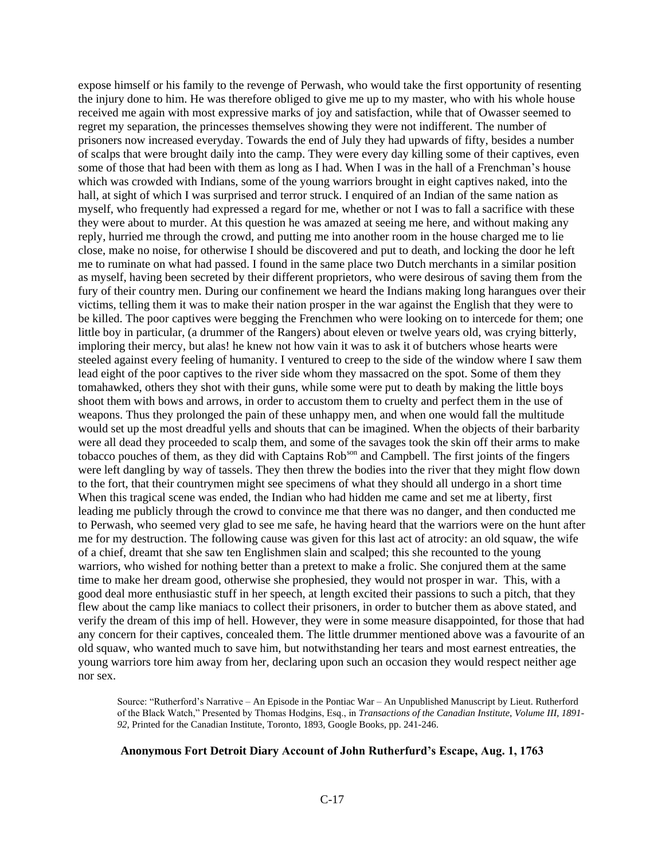expose himself or his family to the revenge of Perwash, who would take the first opportunity of resenting the injury done to him. He was therefore obliged to give me up to my master, who with his whole house received me again with most expressive marks of joy and satisfaction, while that of Owasser seemed to regret my separation, the princesses themselves showing they were not indifferent. The number of prisoners now increased everyday. Towards the end of July they had upwards of fifty, besides a number of scalps that were brought daily into the camp. They were every day killing some of their captives, even some of those that had been with them as long as I had. When I was in the hall of a Frenchman's house which was crowded with Indians, some of the young warriors brought in eight captives naked, into the hall, at sight of which I was surprised and terror struck. I enquired of an Indian of the same nation as myself, who frequently had expressed a regard for me, whether or not I was to fall a sacrifice with these they were about to murder. At this question he was amazed at seeing me here, and without making any reply, hurried me through the crowd, and putting me into another room in the house charged me to lie close, make no noise, for otherwise I should be discovered and put to death, and locking the door he left me to ruminate on what had passed. I found in the same place two Dutch merchants in a similar position as myself, having been secreted by their different proprietors, who were desirous of saving them from the fury of their country men. During our confinement we heard the Indians making long harangues over their victims, telling them it was to make their nation prosper in the war against the English that they were to be killed. The poor captives were begging the Frenchmen who were looking on to intercede for them; one little boy in particular, (a drummer of the Rangers) about eleven or twelve years old, was crying bitterly, imploring their mercy, but alas! he knew not how vain it was to ask it of butchers whose hearts were steeled against every feeling of humanity. I ventured to creep to the side of the window where I saw them lead eight of the poor captives to the river side whom they massacred on the spot. Some of them they tomahawked, others they shot with their guns, while some were put to death by making the little boys shoot them with bows and arrows, in order to accustom them to cruelty and perfect them in the use of weapons. Thus they prolonged the pain of these unhappy men, and when one would fall the multitude would set up the most dreadful yells and shouts that can be imagined. When the objects of their barbarity were all dead they proceeded to scalp them, and some of the savages took the skin off their arms to make tobacco pouches of them, as they did with Captains Rob<sup>son</sup> and Campbell. The first joints of the fingers were left dangling by way of tassels. They then threw the bodies into the river that they might flow down to the fort, that their countrymen might see specimens of what they should all undergo in a short time When this tragical scene was ended, the Indian who had hidden me came and set me at liberty, first leading me publicly through the crowd to convince me that there was no danger, and then conducted me to Perwash, who seemed very glad to see me safe, he having heard that the warriors were on the hunt after me for my destruction. The following cause was given for this last act of atrocity: an old squaw, the wife of a chief, dreamt that she saw ten Englishmen slain and scalped; this she recounted to the young warriors, who wished for nothing better than a pretext to make a frolic. She conjured them at the same time to make her dream good, otherwise she prophesied, they would not prosper in war. This, with a good deal more enthusiastic stuff in her speech, at length excited their passions to such a pitch, that they flew about the camp like maniacs to collect their prisoners, in order to butcher them as above stated, and verify the dream of this imp of hell. However, they were in some measure disappointed, for those that had any concern for their captives, concealed them. The little drummer mentioned above was a favourite of an old squaw, who wanted much to save him, but notwithstanding her tears and most earnest entreaties, the young warriors tore him away from her, declaring upon such an occasion they would respect neither age nor sex.

Source: "Rutherford's Narrative – An Episode in the Pontiac War – An Unpublished Manuscript by Lieut. Rutherford of the Black Watch," Presented by Thomas Hodgins, Esq., in *Transactions of the Canadian Institute*, *Volume III, 1891- 92*, Printed for the Canadian Institute, Toronto, 1893, Google Books, pp. 241-246.

#### **Anonymous Fort Detroit Diary Account of John Rutherfurd's Escape, Aug. 1, 1763**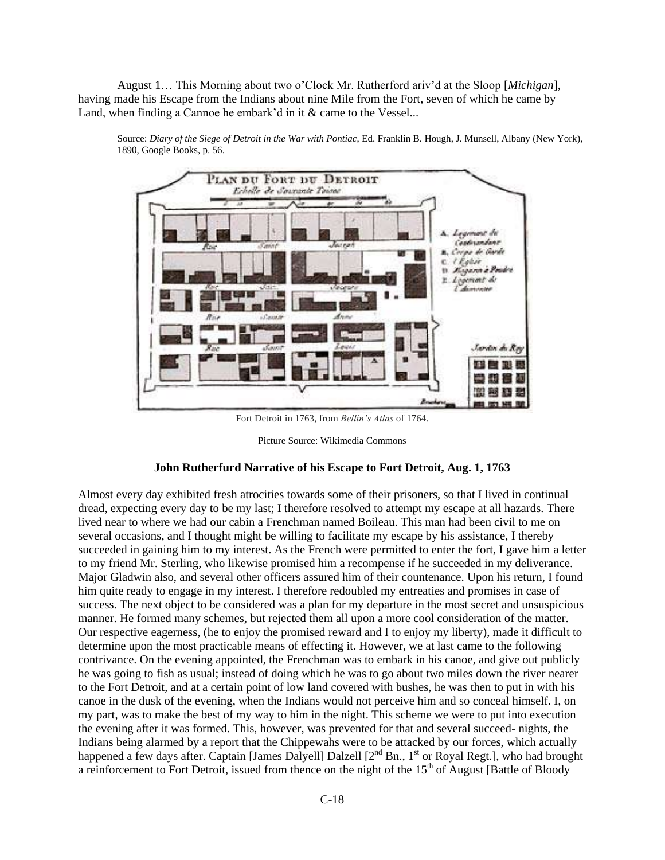August 1… This Morning about two o'Clock Mr. Rutherford ariv'd at the Sloop [*Michigan*], having made his Escape from the Indians about nine Mile from the Fort, seven of which he came by Land, when finding a Cannoe he embark'd in it & came to the Vessel...



Source: *Diary of the Siege of Detroit in the War with Pontiac*, Ed. Franklin B. Hough, J. Munsell, Albany (New York), 1890, Google Books, p. 56.

Fort Detroit in 1763, from *Bellin's Atlas* of 1764.

Picture Source: Wikimedia Commons

#### **John Rutherfurd Narrative of his Escape to Fort Detroit, Aug. 1, 1763**

Almost every day exhibited fresh atrocities towards some of their prisoners, so that I lived in continual dread, expecting every day to be my last; I therefore resolved to attempt my escape at all hazards. There lived near to where we had our cabin a Frenchman named Boileau. This man had been civil to me on several occasions, and I thought might be willing to facilitate my escape by his assistance, I thereby succeeded in gaining him to my interest. As the French were permitted to enter the fort, I gave him a letter to my friend Mr. Sterling, who likewise promised him a recompense if he succeeded in my deliverance. Major Gladwin also, and several other officers assured him of their countenance. Upon his return, I found him quite ready to engage in my interest. I therefore redoubled my entreaties and promises in case of success. The next object to be considered was a plan for my departure in the most secret and unsuspicious manner. He formed many schemes, but rejected them all upon a more cool consideration of the matter. Our respective eagerness, (he to enjoy the promised reward and I to enjoy my liberty), made it difficult to determine upon the most practicable means of effecting it. However, we at last came to the following contrivance. On the evening appointed, the Frenchman was to embark in his canoe, and give out publicly he was going to fish as usual; instead of doing which he was to go about two miles down the river nearer to the Fort Detroit, and at a certain point of low land covered with bushes, he was then to put in with his canoe in the dusk of the evening, when the Indians would not perceive him and so conceal himself. I, on my part, was to make the best of my way to him in the night. This scheme we were to put into execution the evening after it was formed. This, however, was prevented for that and several succeed- nights, the Indians being alarmed by a report that the Chippewahs were to be attacked by our forces, which actually happened a few days after. Captain [James Dalyell] Dalzell [2<sup>nd</sup> Bn., 1<sup>st</sup> or Royal Regt.], who had brought a reinforcement to Fort Detroit, issued from thence on the night of the 15<sup>th</sup> of August [Battle of Bloody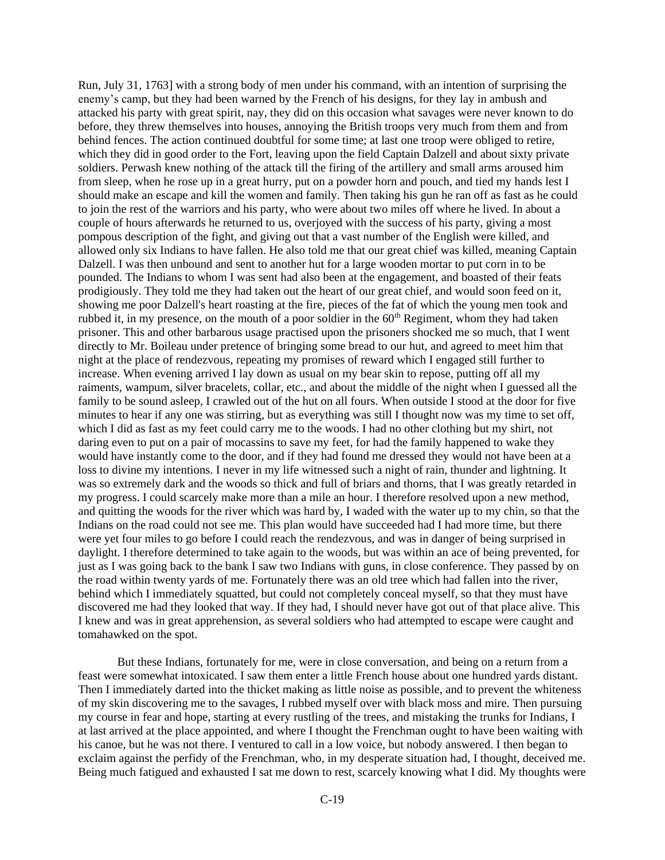Run, July 31, 1763] with a strong body of men under his command, with an intention of surprising the enemy's camp, but they had been warned by the French of his designs, for they lay in ambush and attacked his party with great spirit, nay, they did on this occasion what savages were never known to do before, they threw themselves into houses, annoying the British troops very much from them and from behind fences. The action continued doubtful for some time; at last one troop were obliged to retire, which they did in good order to the Fort, leaving upon the field Captain Dalzell and about sixty private soldiers. Perwash knew nothing of the attack till the firing of the artillery and small arms aroused him from sleep, when he rose up in a great hurry, put on a powder horn and pouch, and tied my hands lest I should make an escape and kill the women and family. Then taking his gun he ran off as fast as he could to join the rest of the warriors and his party, who were about two miles off where he lived. In about a couple of hours afterwards he returned to us, overjoyed with the success of his party, giving a most pompous description of the fight, and giving out that a vast number of the English were killed, and allowed only six Indians to have fallen. He also told me that our great chief was killed, meaning Captain Dalzell. I was then unbound and sent to another hut for a large wooden mortar to put corn in to be pounded. The Indians to whom I was sent had also been at the engagement, and boasted of their feats prodigiously. They told me they had taken out the heart of our great chief, and would soon feed on it, showing me poor Dalzell's heart roasting at the fire, pieces of the fat of which the young men took and rubbed it, in my presence, on the mouth of a poor soldier in the 60<sup>th</sup> Regiment, whom they had taken prisoner. This and other barbarous usage practised upon the prisoners shocked me so much, that I went directly to Mr. Boileau under pretence of bringing some bread to our hut, and agreed to meet him that night at the place of rendezvous, repeating my promises of reward which I engaged still further to increase. When evening arrived I lay down as usual on my bear skin to repose, putting off all my raiments, wampum, silver bracelets, collar, etc., and about the middle of the night when I guessed all the family to be sound asleep, I crawled out of the hut on all fours. When outside I stood at the door for five minutes to hear if any one was stirring, but as everything was still I thought now was my time to set off, which I did as fast as my feet could carry me to the woods. I had no other clothing but my shirt, not daring even to put on a pair of mocassins to save my feet, for had the family happened to wake they would have instantly come to the door, and if they had found me dressed they would not have been at a loss to divine my intentions. I never in my life witnessed such a night of rain, thunder and lightning. It was so extremely dark and the woods so thick and full of briars and thorns, that I was greatly retarded in my progress. I could scarcely make more than a mile an hour. I therefore resolved upon a new method, and quitting the woods for the river which was hard by, I waded with the water up to my chin, so that the Indians on the road could not see me. This plan would have succeeded had I had more time, but there were yet four miles to go before I could reach the rendezvous, and was in danger of being surprised in daylight. I therefore determined to take again to the woods, but was within an ace of being prevented, for just as I was going back to the bank I saw two Indians with guns, in close conference. They passed by on the road within twenty yards of me. Fortunately there was an old tree which had fallen into the river, behind which I immediately squatted, but could not completely conceal myself, so that they must have discovered me had they looked that way. If they had, I should never have got out of that place alive. This I knew and was in great apprehension, as several soldiers who had attempted to escape were caught and tomahawked on the spot.

But these Indians, fortunately for me, were in close conversation, and being on a return from a feast were somewhat intoxicated. I saw them enter a little French house about one hundred yards distant. Then I immediately darted into the thicket making as little noise as possible, and to prevent the whiteness of my skin discovering me to the savages, I rubbed myself over with black moss and mire. Then pursuing my course in fear and hope, starting at every rustling of the trees, and mistaking the trunks for Indians, I at last arrived at the place appointed, and where I thought the Frenchman ought to have been waiting with his canoe, but he was not there. I ventured to call in a low voice, but nobody answered. I then began to exclaim against the perfidy of the Frenchman, who, in my desperate situation had, I thought, deceived me. Being much fatigued and exhausted I sat me down to rest, scarcely knowing what I did. My thoughts were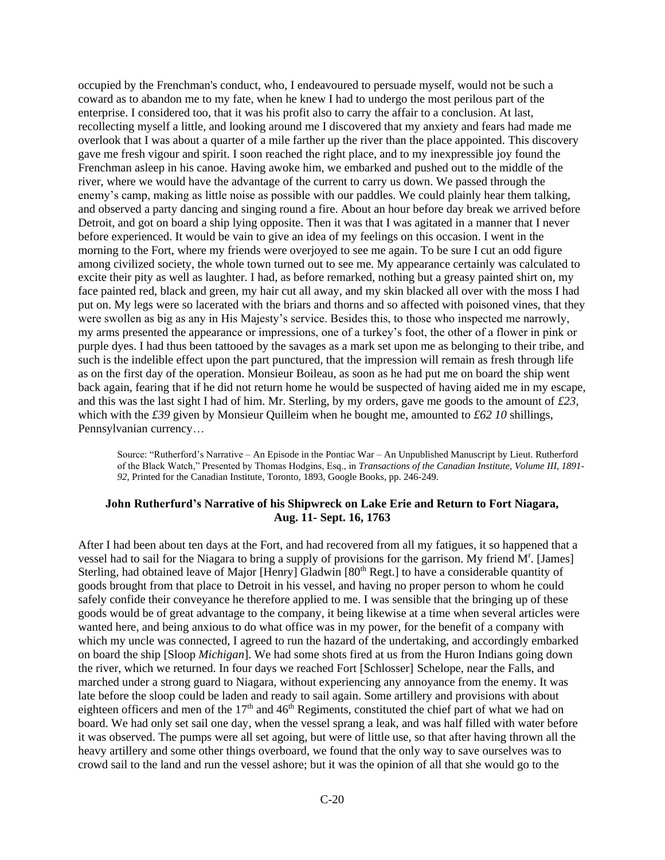occupied by the Frenchman's conduct, who, I endeavoured to persuade myself, would not be such a coward as to abandon me to my fate, when he knew I had to undergo the most perilous part of the enterprise. I considered too, that it was his profit also to carry the affair to a conclusion. At last, recollecting myself a little, and looking around me I discovered that my anxiety and fears had made me overlook that I was about a quarter of a mile farther up the river than the place appointed. This discovery gave me fresh vigour and spirit. I soon reached the right place, and to my inexpressible joy found the Frenchman asleep in his canoe. Having awoke him, we embarked and pushed out to the middle of the river, where we would have the advantage of the current to carry us down. We passed through the enemy's camp, making as little noise as possible with our paddles. We could plainly hear them talking, and observed a party dancing and singing round a fire. About an hour before day break we arrived before Detroit, and got on board a ship lying opposite. Then it was that I was agitated in a manner that I never before experienced. It would be vain to give an idea of my feelings on this occasion. I went in the morning to the Fort, where my friends were overjoyed to see me again. To be sure I cut an odd figure among civilized society, the whole town turned out to see me. My appearance certainly was calculated to excite their pity as well as laughter. I had, as before remarked, nothing but a greasy painted shirt on, my face painted red, black and green, my hair cut all away, and my skin blacked all over with the moss I had put on. My legs were so lacerated with the briars and thorns and so affected with poisoned vines, that they were swollen as big as any in His Majesty's service. Besides this, to those who inspected me narrowly, my arms presented the appearance or impressions, one of a turkey's foot, the other of a flower in pink or purple dyes. I had thus been tattooed by the savages as a mark set upon me as belonging to their tribe, and such is the indelible effect upon the part punctured, that the impression will remain as fresh through life as on the first day of the operation. Monsieur Boileau, as soon as he had put me on board the ship went back again, fearing that if he did not return home he would be suspected of having aided me in my escape, and this was the last sight I had of him. Mr. Sterling, by my orders, gave me goods to the amount of *£23,*  which with the *£39* given by Monsieur Quilleim when he bought me, amounted to *£62 10* shillings, Pennsylvanian currency…

Source: "Rutherford's Narrative – An Episode in the Pontiac War – An Unpublished Manuscript by Lieut. Rutherford of the Black Watch," Presented by Thomas Hodgins, Esq., in *Transactions of the Canadian Institute*, *Volume III, 1891- 92*, Printed for the Canadian Institute, Toronto, 1893, Google Books, pp. 246-249.

# **John Rutherfurd's Narrative of his Shipwreck on Lake Erie and Return to Fort Niagara, Aug. 11- Sept. 16, 1763**

After I had been about ten days at the Fort, and had recovered from all my fatigues, it so happened that a vessel had to sail for the Niagara to bring a supply of provisions for the garrison. My friend M<sup>r</sup>. [James] Sterling, had obtained leave of Major [Henry] Gladwin [80<sup>th</sup> Regt.] to have a considerable quantity of goods brought from that place to Detroit in his vessel, and having no proper person to whom he could safely confide their conveyance he therefore applied to me. I was sensible that the bringing up of these goods would be of great advantage to the company, it being likewise at a time when several articles were wanted here, and being anxious to do what office was in my power, for the benefit of a company with which my uncle was connected, I agreed to run the hazard of the undertaking, and accordingly embarked on board the ship [Sloop *Michigan*]. We had some shots fired at us from the Huron Indians going down the river, which we returned. In four days we reached Fort [Schlosser] Schelope, near the Falls, and marched under a strong guard to Niagara, without experiencing any annoyance from the enemy. It was late before the sloop could be laden and ready to sail again. Some artillery and provisions with about eighteen officers and men of the 17<sup>th</sup> and 46<sup>th</sup> Regiments, constituted the chief part of what we had on board. We had only set sail one day, when the vessel sprang a leak, and was half filled with water before it was observed. The pumps were all set agoing, but were of little use, so that after having thrown all the heavy artillery and some other things overboard, we found that the only way to save ourselves was to crowd sail to the land and run the vessel ashore; but it was the opinion of all that she would go to the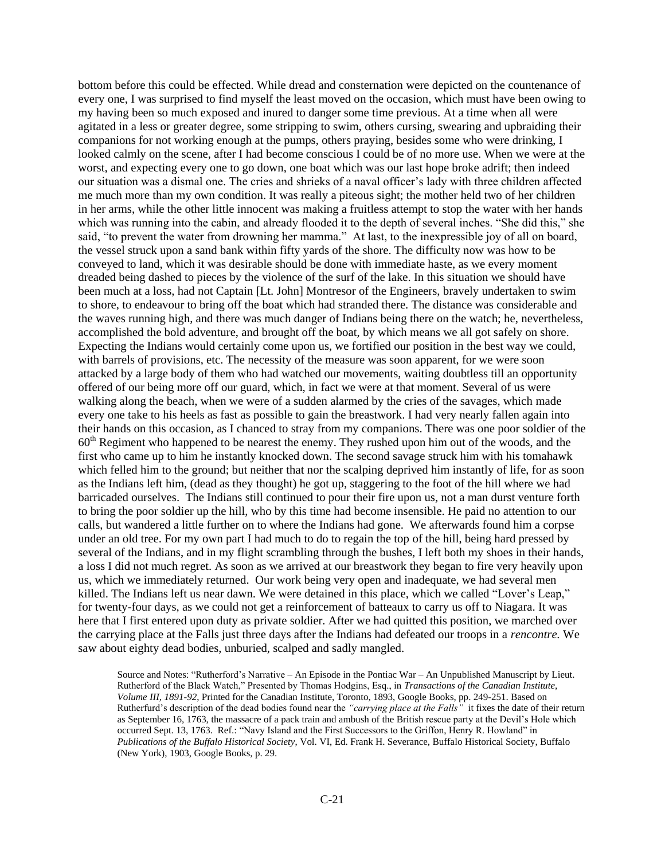bottom before this could be effected. While dread and consternation were depicted on the countenance of every one, I was surprised to find myself the least moved on the occasion, which must have been owing to my having been so much exposed and inured to danger some time previous. At a time when all were agitated in a less or greater degree, some stripping to swim, others cursing, swearing and upbraiding their companions for not working enough at the pumps, others praying, besides some who were drinking, I looked calmly on the scene, after I had become conscious I could be of no more use. When we were at the worst, and expecting every one to go down, one boat which was our last hope broke adrift; then indeed our situation was a dismal one. The cries and shrieks of a naval officer's lady with three children affected me much more than my own condition. It was really a piteous sight; the mother held two of her children in her arms, while the other little innocent was making a fruitless attempt to stop the water with her hands which was running into the cabin, and already flooded it to the depth of several inches. "She did this," she said, "to prevent the water from drowning her mamma." At last, to the inexpressible joy of all on board, the vessel struck upon a sand bank within fifty yards of the shore. The difficulty now was how to be conveyed to land, which it was desirable should be done with immediate haste, as we every moment dreaded being dashed to pieces by the violence of the surf of the lake. In this situation we should have been much at a loss, had not Captain [Lt. John] Montresor of the Engineers, bravely undertaken to swim to shore, to endeavour to bring off the boat which had stranded there. The distance was considerable and the waves running high, and there was much danger of Indians being there on the watch; he, nevertheless, accomplished the bold adventure, and brought off the boat, by which means we all got safely on shore. Expecting the Indians would certainly come upon us, we fortified our position in the best way we could, with barrels of provisions, etc. The necessity of the measure was soon apparent, for we were soon attacked by a large body of them who had watched our movements, waiting doubtless till an opportunity offered of our being more off our guard, which, in fact we were at that moment. Several of us were walking along the beach, when we were of a sudden alarmed by the cries of the savages, which made every one take to his heels as fast as possible to gain the breastwork. I had very nearly fallen again into their hands on this occasion, as I chanced to stray from my companions. There was one poor soldier of the 60th Regiment who happened to be nearest the enemy. They rushed upon him out of the woods, and the first who came up to him he instantly knocked down. The second savage struck him with his tomahawk which felled him to the ground; but neither that nor the scalping deprived him instantly of life, for as soon as the Indians left him, (dead as they thought) he got up, staggering to the foot of the hill where we had barricaded ourselves. The Indians still continued to pour their fire upon us, not a man durst venture forth to bring the poor soldier up the hill, who by this time had become insensible. He paid no attention to our calls, but wandered a little further on to where the Indians had gone. We afterwards found him a corpse under an old tree. For my own part I had much to do to regain the top of the hill, being hard pressed by several of the Indians, and in my flight scrambling through the bushes, I left both my shoes in their hands, a loss I did not much regret. As soon as we arrived at our breastwork they began to fire very heavily upon us, which we immediately returned. Our work being very open and inadequate, we had several men killed. The Indians left us near dawn. We were detained in this place, which we called "Lover's Leap," for twenty-four days, as we could not get a reinforcement of batteaux to carry us off to Niagara. It was here that I first entered upon duty as private soldier. After we had quitted this position, we marched over the carrying place at the Falls just three days after the Indians had defeated our troops in a *rencontre.* We saw about eighty dead bodies, unburied, scalped and sadly mangled.

Source and Notes: "Rutherford's Narrative – An Episode in the Pontiac War – An Unpublished Manuscript by Lieut. Rutherford of the Black Watch," Presented by Thomas Hodgins, Esq., in *Transactions of the Canadian Institute*, *Volume III, 1891-92*, Printed for the Canadian Institute, Toronto, 1893, Google Books, pp. 249-251. Based on Rutherfurd's description of the dead bodies found near the *"carrying place at the Falls"* it fixes the date of their return as September 16, 1763, the massacre of a pack train and ambush of the British rescue party at the Devil's Hole which occurred Sept. 13, 1763. Ref.: "Navy Island and the First Successors to the Griffon, Henry R. Howland" in *Publications of the Buffalo Historical Society*, Vol. VI, Ed. Frank H. Severance, Buffalo Historical Society, Buffalo (New York), 1903, Google Books, p. 29.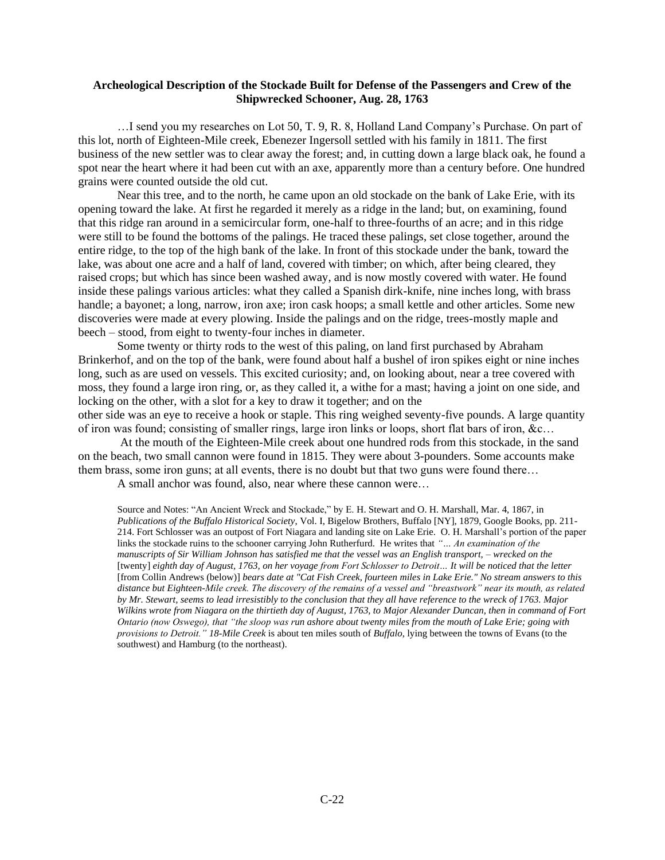#### **Archeological Description of the Stockade Built for Defense of the Passengers and Crew of the Shipwrecked Schooner, Aug. 28, 1763**

…I send you my researches on Lot 50, T. 9, R. 8, Holland Land Company's Purchase. On part of this lot, north of Eighteen-Mile creek, Ebenezer Ingersoll settled with his family in 1811. The first business of the new settler was to clear away the forest; and, in cutting down a large black oak, he found a spot near the heart where it had been cut with an axe, apparently more than a century before. One hundred grains were counted outside the old cut.

Near this tree, and to the north, he came upon an old stockade on the bank of Lake Erie, with its opening toward the lake. At first he regarded it merely as a ridge in the land; but, on examining, found that this ridge ran around in a semicircular form, one-half to three-fourths of an acre; and in this ridge were still to be found the bottoms of the palings. He traced these palings, set close together, around the entire ridge, to the top of the high bank of the lake. In front of this stockade under the bank, toward the lake, was about one acre and a half of land, covered with timber; on which, after being cleared, they raised crops; but which has since been washed away, and is now mostly covered with water. He found inside these palings various articles: what they called a Spanish dirk-knife, nine inches long, with brass handle; a bayonet; a long, narrow, iron axe; iron cask hoops; a small kettle and other articles. Some new discoveries were made at every plowing. Inside the palings and on the ridge, trees-mostly maple and beech – stood, from eight to twenty-four inches in diameter.

Some twenty or thirty rods to the west of this paling, on land first purchased by Abraham Brinkerhof, and on the top of the bank, were found about half a bushel of iron spikes eight or nine inches long, such as are used on vessels. This excited curiosity; and, on looking about, near a tree covered with moss, they found a large iron ring, or, as they called it, a withe for a mast; having a joint on one side, and locking on the other, with a slot for a key to draw it together; and on the

other side was an eye to receive a hook or staple. This ring weighed seventy-five pounds. A large quantity of iron was found; consisting of smaller rings, large iron links or loops, short flat bars of iron, &c…

At the mouth of the Eighteen-Mile creek about one hundred rods from this stockade, in the sand on the beach, two small cannon were found in 1815. They were about 3-pounders. Some accounts make them brass, some iron guns; at all events, there is no doubt but that two guns were found there…

A small anchor was found, also, near where these cannon were…

Source and Notes: "An Ancient Wreck and Stockade," by E. H. Stewart and O. H. Marshall, Mar. 4, 1867, in *Publications of the Buffalo Historical Society*, Vol. I, Bigelow Brothers, Buffalo [NY], 1879, Google Books, pp. 211- 214. Fort Schlosser was an outpost of Fort Niagara and landing site on Lake Erie. O. H. Marshall's portion of the paper links the stockade ruins to the schooner carrying John Rutherfurd. He writes that *"… An examination of the manuscripts of Sir William Johnson has satisfied me that the vessel was an English transport, – wrecked on the*  [twenty] *eighth day of August, 1763, on her voyage from Fort Schlosser to Detroit… It will be noticed that the letter*  [from Collin Andrews (below)] *bears date at "Cat Fish Creek, fourteen miles in Lake Erie." No stream answers to this distance but Eighteen-Mile creek. The discovery of the remains of a vessel and "breastwork" near its mouth, as related by Mr. Stewart, seems to lead irresistibly to the conclusion that they all have reference to the wreck of 1763. Major Wilkins wrote from Niagara on the thirtieth day of August, 1763, to Major Alexander Duncan, then in command of Fort Ontario (now Oswego), that "the sloop was run ashore about twenty miles from the mouth of Lake Erie; going with provisions to Detroit." 18*-*Mile Creek* is about ten miles south of *Buffalo*, lying between the towns of Evans (to the southwest) and Hamburg (to the northeast).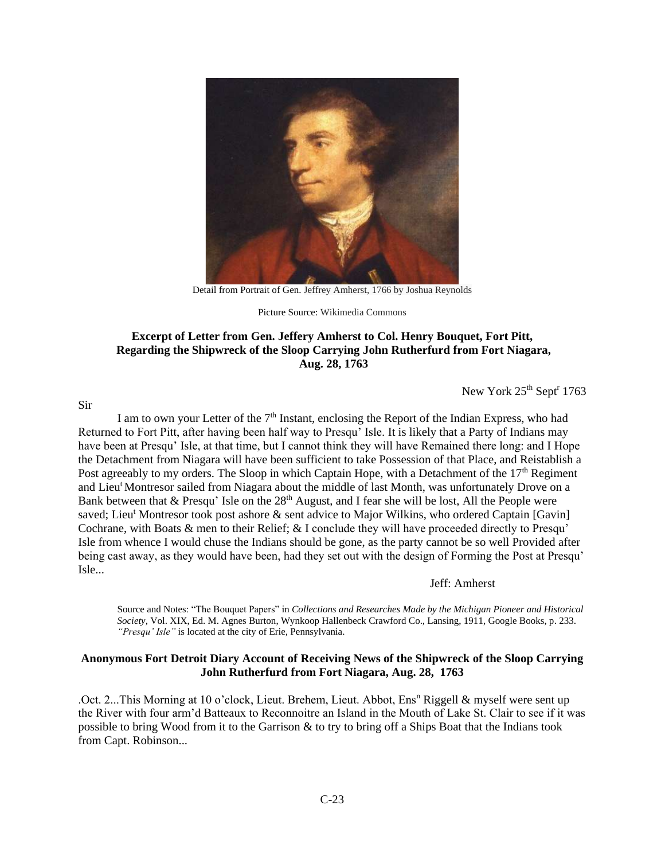

Detail from Portrait of Gen. Jeffrey Amherst, 1766 by Joshua Reynolds

Picture Source: Wikimedia Commons

# **Excerpt of Letter from Gen. Jeffery Amherst to Col. Henry Bouquet, Fort Pitt, Regarding the Shipwreck of the Sloop Carrying John Rutherfurd from Fort Niagara, Aug. 28, 1763**

New York 25<sup>th</sup> Sept<sup>r</sup> 1763

I am to own your Letter of the  $7<sup>th</sup>$  Instant, enclosing the Report of the Indian Express, who had Returned to Fort Pitt, after having been half way to Presqu' Isle. It is likely that a Party of Indians may have been at Presqu' Isle, at that time, but I cannot think they will have Remained there long: and I Hope the Detachment from Niagara will have been sufficient to take Possession of that Place, and Reistablish a Post agreeably to my orders. The Sloop in which Captain Hope, with a Detachment of the  $17<sup>th</sup>$  Regiment and Lieu<sup>t</sup> Montresor sailed from Niagara about the middle of last Month, was unfortunately Drove on a Bank between that  $\&$  Presqu' Isle on the 28<sup>th</sup> August, and I fear she will be lost, All the People were saved; Lieu<sup>t</sup> Montresor took post ashore & sent advice to Major Wilkins, who ordered Captain [Gavin] Cochrane, with Boats & men to their Relief; & I conclude they will have proceeded directly to Presqu' Isle from whence I would chuse the Indians should be gone, as the party cannot be so well Provided after being cast away, as they would have been, had they set out with the design of Forming the Post at Presqu' Isle...

Jeff: Amherst

Source and Notes: "The Bouquet Papers" in *Collections and Researches Made by the Michigan Pioneer and Historical Society*, Vol. XIX, Ed. M. Agnes Burton, Wynkoop Hallenbeck Crawford Co., Lansing, 1911, Google Books, p. 233. *"Presqu' Isle"* is located at the city of Erie, Pennsylvania.

# **Anonymous Fort Detroit Diary Account of Receiving News of the Shipwreck of the Sloop Carrying John Rutherfurd from Fort Niagara, Aug. 28, 1763**

.Oct. 2...This Morning at 10 o'clock, Lieut. Brehem, Lieut. Abbot, Ens<sup>n</sup> Riggell & myself were sent up the River with four arm'd Batteaux to Reconnoitre an Island in the Mouth of Lake St. Clair to see if it was possible to bring Wood from it to the Garrison & to try to bring off a Ships Boat that the Indians took from Capt. Robinson...

#### Sir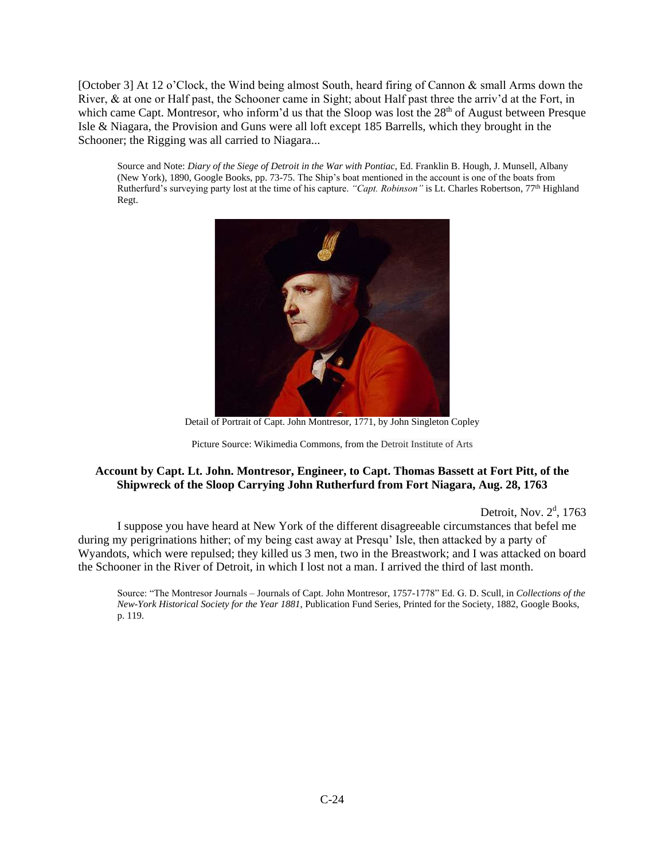[October 3] At 12 o'Clock, the Wind being almost South, heard firing of Cannon & small Arms down the River, & at one or Half past, the Schooner came in Sight; about Half past three the arriv'd at the Fort, in which came Capt. Montresor, who inform'd us that the Sloop was lost the 28<sup>th</sup> of August between Presque Isle & Niagara, the Provision and Guns were all loft except 185 Barrells, which they brought in the Schooner; the Rigging was all carried to Niagara...

Source and Note: *Diary of the Siege of Detroit in the War with Pontiac*, Ed. Franklin B. Hough, J. Munsell, Albany (New York), 1890, Google Books, pp. 73-75. The Ship's boat mentioned in the account is one of the boats from Rutherfurd's surveying party lost at the time of his capture. *"Capt. Robinson"* is Lt. Charles Robertson, 77th Highland Regt.



Detail of Portrait of Capt. John Montresor, 1771, by John Singleton Copley

# **Account by Capt. Lt. John. Montresor, Engineer, to Capt. Thomas Bassett at Fort Pitt, of the Shipwreck of the Sloop Carrying John Rutherfurd from Fort Niagara, Aug. 28, 1763**

Detroit, Nov. 2<sup>d</sup>, 1763

I suppose you have heard at New York of the different disagreeable circumstances that befel me during my perigrinations hither; of my being cast away at Presqu' Isle, then attacked by a party of Wyandots, which were repulsed; they killed us 3 men, two in the Breastwork; and I was attacked on board the Schooner in the River of Detroit, in which I lost not a man. I arrived the third of last month.

Source: "The Montresor Journals – Journals of Capt. John Montresor, 1757-1778" Ed. G. D. Scull, in *Collections of the New-York Historical Society for the Year 1881*, Publication Fund Series, Printed for the Society, 1882, Google Books, p. 119.

Picture Source: Wikimedia Commons, from the Detroit Institute of Arts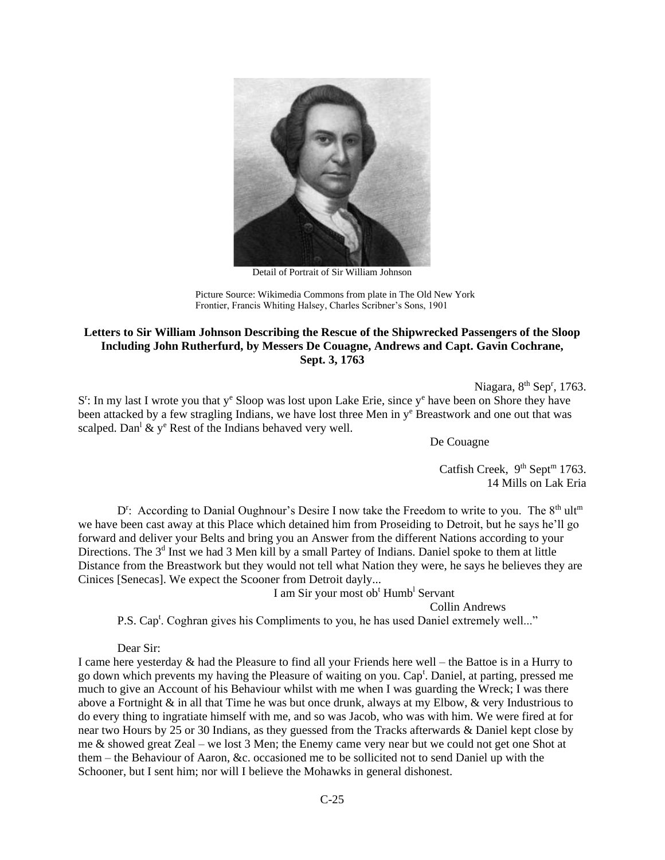

Detail of Portrait of Sir William Johnson

Picture Source: Wikimedia Commons from plate in The Old New York Frontier, Francis Whiting Halsey, Charles Scribner's Sons, 1901

# **Letters to Sir William Johnson Describing the Rescue of the Shipwrecked Passengers of the Sloop Including John Rutherfurd, by Messers De Couagne, Andrews and Capt. Gavin Cochrane, Sept. 3, 1763**

Niagara, 8<sup>th</sup> Sep<sup>r</sup>, 1763.

S<sup>r</sup>: In my last I wrote you that y<sup>e</sup> Sloop was lost upon Lake Erie, since y<sup>e</sup> have been on Shore they have been attacked by a few stragling Indians, we have lost three Men in  $y<sup>e</sup>$  Breastwork and one out that was scalped. Dan<sup>1</sup>  $\&$  y<sup>e</sup> Rest of the Indians behaved very well.

De Couagne

Catfish Creek,  $9^{th}$  Sept<sup>m</sup> 1763. 14 Mills on Lak Eria

D<sup>r</sup>: According to Danial Oughnour's Desire I now take the Freedom to write to you. The 8<sup>th</sup> ult<sup>m</sup> we have been cast away at this Place which detained him from Proseiding to Detroit, but he says he'll go forward and deliver your Belts and bring you an Answer from the different Nations according to your Directions. The 3<sup>d</sup> Inst we had 3 Men kill by a small Partey of Indians. Daniel spoke to them at little Distance from the Breastwork but they would not tell what Nation they were, he says he believes they are Cinices [Senecas]. We expect the Scooner from Detroit dayly...

I am Sir your most ob<sup>t</sup> Humb<sup>1</sup> Servant

Collin Andrews

P.S. Cap<sup>t</sup>. Coghran gives his Compliments to you, he has used Daniel extremely well..."

Dear Sir:

I came here yesterday & had the Pleasure to find all your Friends here well – the Battoe is in a Hurry to go down which prevents my having the Pleasure of waiting on you. Cap<sup>t</sup>. Daniel, at parting, pressed me much to give an Account of his Behaviour whilst with me when I was guarding the Wreck; I was there above a Fortnight  $\&$  in all that Time he was but once drunk, always at my Elbow,  $\&$  very Industrious to do every thing to ingratiate himself with me, and so was Jacob, who was with him. We were fired at for near two Hours by 25 or 30 Indians, as they guessed from the Tracks afterwards & Daniel kept close by me & showed great Zeal – we lost 3 Men; the Enemy came very near but we could not get one Shot at them – the Behaviour of Aaron, &c. occasioned me to be sollicited not to send Daniel up with the Schooner, but I sent him; nor will I believe the Mohawks in general dishonest.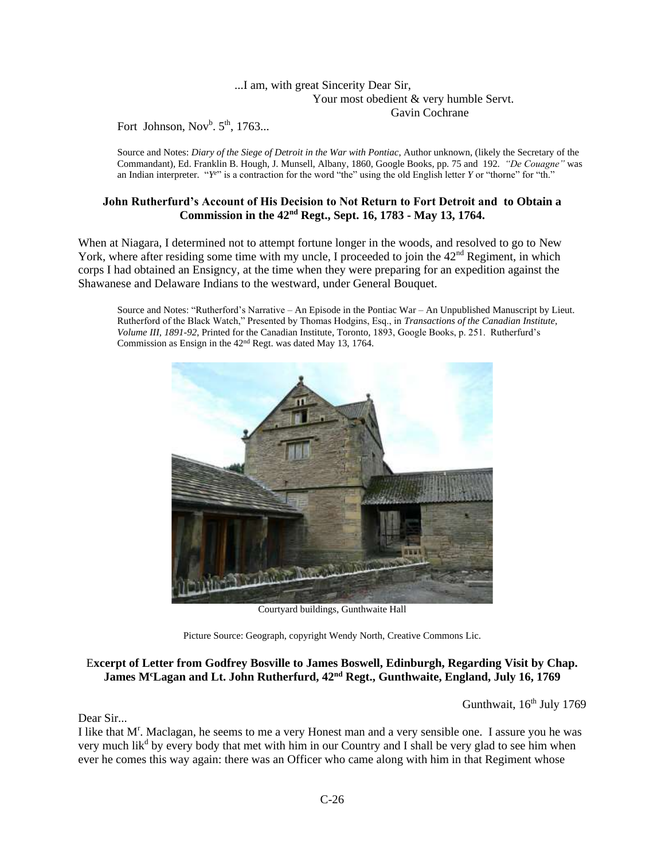### ...I am, with great Sincerity Dear Sir, Your most obedient & very humble Servt. Gavin Cochrane

Fort Johnson,  $Nov^b$ .  $5^{\text{th}}$ , 1763...

Source and Notes: *Diary of the Siege of Detroit in the War with Pontiac*, Author unknown, (likely the Secretary of the Commandant), Ed. Franklin B. Hough, J. Munsell, Albany, 1860, Google Books, pp. 75 and 192. *"De Couagne"* was an Indian interpreter. "*Ye*" is a contraction for the word "the" using the old English letter *Y* or "thorne" for "th."

## **John Rutherfurd's Account of His Decision to Not Return to Fort Detroit and to Obtain a Commission in the 42nd Regt., Sept. 16, 1783 - May 13, 1764.**

When at Niagara, I determined not to attempt fortune longer in the woods, and resolved to go to New York, where after residing some time with my uncle, I proceeded to join the  $42<sup>nd</sup>$  Regiment, in which corps I had obtained an Ensigncy, at the time when they were preparing for an expedition against the Shawanese and Delaware Indians to the westward, under General Bouquet.

Source and Notes: "Rutherford's Narrative – An Episode in the Pontiac War – An Unpublished Manuscript by Lieut. Rutherford of the Black Watch," Presented by Thomas Hodgins, Esq., in *Transactions of the Canadian Institute*, *Volume III, 1891-92*, Printed for the Canadian Institute, Toronto, 1893, Google Books, p. 251. Rutherfurd's Commission as Ensign in the 42nd Regt. was dated May 13, 1764.



Courtyard buildings, Gunthwaite Hall

Picture Source: Geograph, copyright Wendy North, Creative Commons Lic.

# E**xcerpt of Letter from Godfrey Bosville to James Boswell, Edinburgh, Regarding Visit by Chap. James M<sup>c</sup>Lagan and Lt. John Rutherfurd, 42nd Regt., Gunthwaite, England, July 16, 1769**

Gunthwait,  $16^{th}$  July 1769

Dear Sir...

I like that M<sup>r</sup>. Maclagan, he seems to me a very Honest man and a very sensible one. I assure you he was very much lik<sup>d</sup> by every body that met with him in our Country and I shall be very glad to see him when ever he comes this way again: there was an Officer who came along with him in that Regiment whose